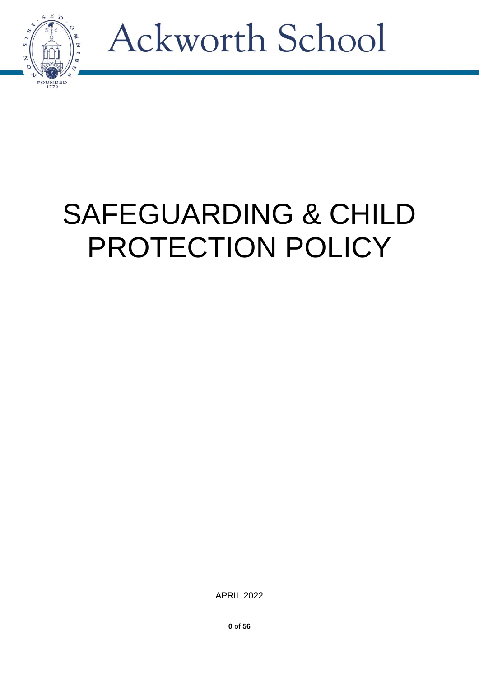

### SAFEGUARDING & CHILD PROTECTION POLICY

APRIL 2022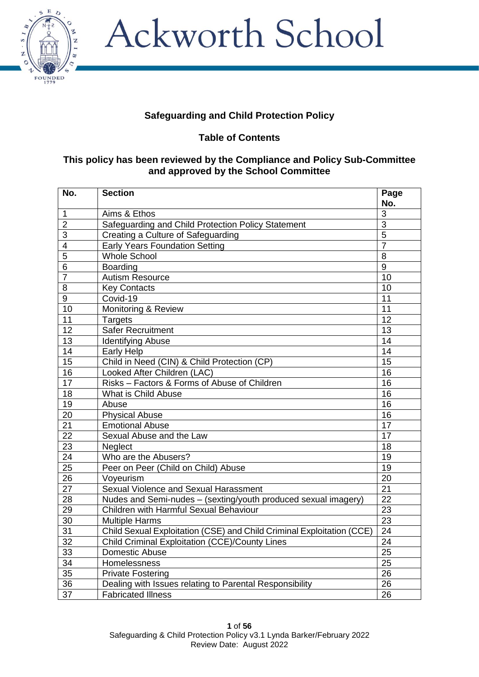

### **Safeguarding and Child Protection Policy**

**Table of Contents**

#### **This policy has been reviewed by the Compliance and Policy Sub-Committee and approved by the School Committee**

| No.             | <b>Section</b>                                                        | Page            |
|-----------------|-----------------------------------------------------------------------|-----------------|
|                 |                                                                       | No.             |
| $\mathbf{1}$    | Aims & Ethos                                                          | $\overline{3}$  |
| $\overline{2}$  | Safeguarding and Child Protection Policy Statement                    | $\overline{3}$  |
| 3               | Creating a Culture of Safeguarding                                    | $\overline{5}$  |
| 4               | <b>Early Years Foundation Setting</b>                                 | $\overline{7}$  |
| 5               | <b>Whole School</b>                                                   | 8               |
| 6               | <b>Boarding</b>                                                       | 9               |
| $\overline{7}$  | <b>Autism Resource</b>                                                | 10              |
| 8               | <b>Key Contacts</b>                                                   | 10              |
| 9               | Covid-19                                                              | 11              |
| 10              | Monitoring & Review                                                   | $\overline{11}$ |
| 11              | <b>Targets</b>                                                        | 12              |
| $\overline{12}$ | <b>Safer Recruitment</b>                                              | $\overline{13}$ |
| 13              | <b>Identifying Abuse</b>                                              | 14              |
| 14              | Early Help                                                            | 14              |
| 15              | Child in Need (CIN) & Child Protection (CP)                           | 15              |
| 16              | Looked After Children (LAC)                                           | 16              |
| 17              | Risks - Factors & Forms of Abuse of Children                          | 16              |
| 18              | What is Child Abuse                                                   | 16              |
| 19              | Abuse                                                                 | 16              |
| 20              | <b>Physical Abuse</b>                                                 | 16              |
| 21              | <b>Emotional Abuse</b>                                                | 17              |
| 22              | Sexual Abuse and the Law                                              | $\overline{17}$ |
| 23              | Neglect                                                               | 18              |
| 24              | Who are the Abusers?                                                  | 19              |
| 25              | Peer on Peer (Child on Child) Abuse                                   | $\overline{19}$ |
| 26              | Voyeurism                                                             | 20              |
| 27              | Sexual Violence and Sexual Harassment                                 | $\overline{21}$ |
| 28              | Nudes and Semi-nudes - (sexting/youth produced sexual imagery)        | $\overline{22}$ |
| 29              | Children with Harmful Sexual Behaviour                                | $\overline{23}$ |
| 30              | <b>Multiple Harms</b>                                                 | $\overline{23}$ |
| $\overline{31}$ | Child Sexual Exploitation (CSE) and Child Criminal Exploitation (CCE) | $\overline{24}$ |
| 32              | Child Criminal Exploitation (CCE)/County Lines                        | 24              |
| 33              | Domestic Abuse                                                        | 25              |
| 34              | Homelessness                                                          | $\overline{25}$ |
| 35              | <b>Private Fostering</b>                                              | 26              |
| 36              | Dealing with Issues relating to Parental Responsibility               | 26              |
| 37              | <b>Fabricated Illness</b>                                             | 26              |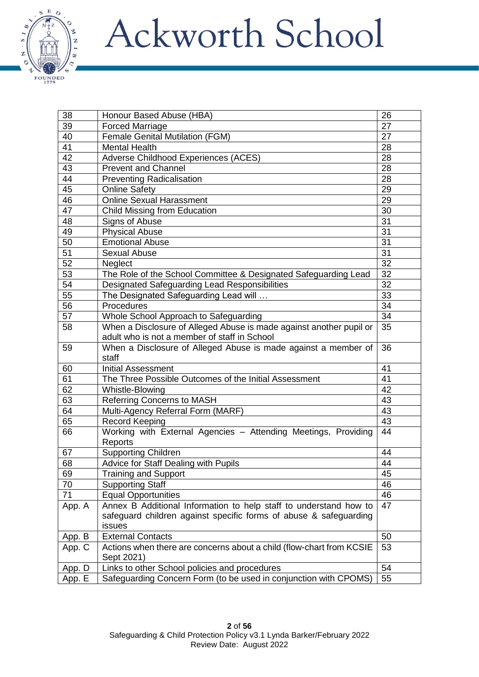

| 38     | Honour Based Abuse (HBA)                                             | 26 |
|--------|----------------------------------------------------------------------|----|
| 39     | <b>Forced Marriage</b>                                               | 27 |
| 40     | Female Genital Mutilation (FGM)                                      | 27 |
| 41     | <b>Mental Health</b>                                                 | 28 |
| 42     | Adverse Childhood Experiences (ACES)                                 | 28 |
| 43     | <b>Prevent and Channel</b>                                           | 28 |
| 44     | <b>Preventing Radicalisation</b>                                     | 28 |
| 45     | <b>Online Safety</b>                                                 | 29 |
| 46     | <b>Online Sexual Harassment</b>                                      | 29 |
| 47     | Child Missing from Education                                         | 30 |
| 48     | Signs of Abuse                                                       | 31 |
| 49     | <b>Physical Abuse</b>                                                | 31 |
| 50     | <b>Emotional Abuse</b>                                               | 31 |
| 51     | <b>Sexual Abuse</b>                                                  | 31 |
| 52     | Neglect                                                              | 32 |
| 53     | The Role of the School Committee & Designated Safeguarding Lead      | 32 |
| 54     | Designated Safeguarding Lead Responsibilities                        | 32 |
| 55     | The Designated Safeguarding Lead will                                | 33 |
| 56     | Procedures                                                           | 34 |
| 57     | Whole School Approach to Safeguarding                                | 34 |
| 58     | When a Disclosure of Alleged Abuse is made against another pupil or  | 35 |
|        | adult who is not a member of staff in School                         |    |
| 59     | When a Disclosure of Alleged Abuse is made against a member of       | 36 |
|        | staff                                                                |    |
| 60     | <b>Initial Assessment</b>                                            | 41 |
| 61     | The Three Possible Outcomes of the Initial Assessment                | 41 |
| 62     | Whistle-Blowing                                                      | 42 |
| 63     | <b>Referring Concerns to MASH</b>                                    | 43 |
| 64     | Multi-Agency Referral Form (MARF)                                    | 43 |
| 65     | <b>Record Keeping</b>                                                | 43 |
| 66     | Working with External Agencies - Attending Meetings, Providing       | 44 |
|        | Reports                                                              |    |
| 67     | <b>Supporting Children</b>                                           | 44 |
| 68     | Advice for Staff Dealing with Pupils                                 | 44 |
| 69     | Training and Support                                                 | 45 |
| 70     | <b>Supporting Staff</b>                                              | 46 |
| 71     | <b>Equal Opportunities</b>                                           | 46 |
| App. A | Annex B Additional Information to help staff to understand how to    | 47 |
|        | safeguard children against specific forms of abuse & safeguarding    |    |
|        | issues                                                               |    |
| App. B | <b>External Contacts</b>                                             | 50 |
| App. C | Actions when there are concerns about a child (flow-chart from KCSIE | 53 |
|        | Sept 2021)                                                           |    |
| App. D | Links to other School policies and procedures                        | 54 |
| App. E | Safeguarding Concern Form (to be used in conjunction with CPOMS)     | 55 |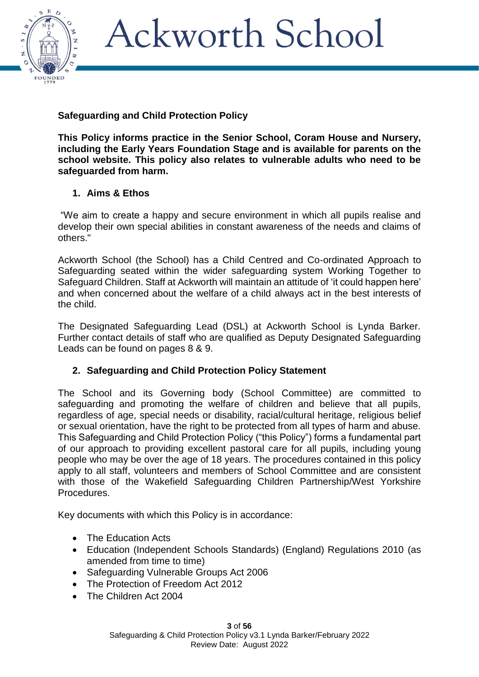

### **Safeguarding and Child Protection Policy**

**This Policy informs practice in the Senior School, Coram House and Nursery, including the Early Years Foundation Stage and is available for parents on the school website. This policy also relates to vulnerable adults who need to be safeguarded from harm.**

### **1. Aims & Ethos**

"We aim to create a happy and secure environment in which all pupils realise and develop their own special abilities in constant awareness of the needs and claims of others."

Ackworth School (the School) has a Child Centred and Co-ordinated Approach to Safeguarding seated within the wider safeguarding system Working Together to Safeguard Children. Staff at Ackworth will maintain an attitude of 'it could happen here' and when concerned about the welfare of a child always act in the best interests of the child.

The Designated Safeguarding Lead (DSL) at Ackworth School is Lynda Barker. Further contact details of staff who are qualified as Deputy Designated Safeguarding Leads can be found on pages 8 & 9.

### **2. Safeguarding and Child Protection Policy Statement**

The School and its Governing body (School Committee) are committed to safeguarding and promoting the welfare of children and believe that all pupils, regardless of age, special needs or disability, racial/cultural heritage, religious belief or sexual orientation, have the right to be protected from all types of harm and abuse. This Safeguarding and Child Protection Policy ("this Policy") forms a fundamental part of our approach to providing excellent pastoral care for all pupils, including young people who may be over the age of 18 years. The procedures contained in this policy apply to all staff, volunteers and members of School Committee and are consistent with those of the Wakefield Safeguarding Children Partnership/West Yorkshire Procedures.

Key documents with which this Policy is in accordance:

- The Education Acts
- Education (Independent Schools Standards) (England) Regulations 2010 (as amended from time to time)
- Safeguarding Vulnerable Groups Act 2006
- The Protection of Freedom Act 2012
- The Children Act 2004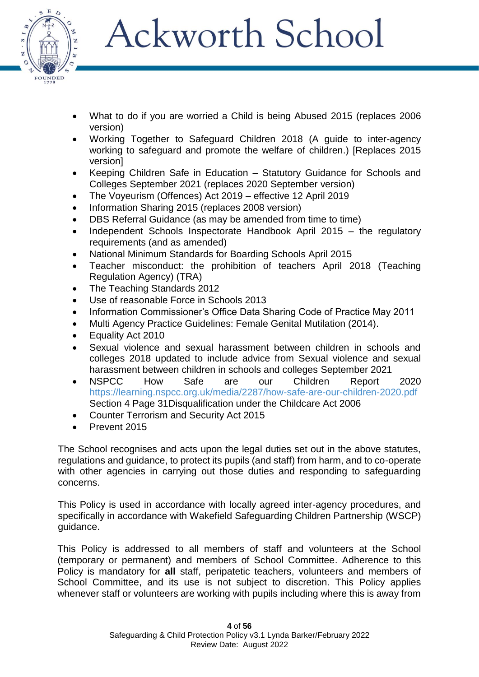

- What to do if you are worried a Child is being Abused 2015 (replaces 2006 version)
- Working Together to Safeguard Children 2018 (A guide to inter-agency working to safeguard and promote the welfare of children.) [Replaces 2015 version]
- Keeping Children Safe in Education Statutory Guidance for Schools and Colleges September 2021 (replaces 2020 September version)
- The Voyeurism (Offences) Act 2019 effective 12 April 2019
- Information Sharing 2015 (replaces 2008 version)
- DBS Referral Guidance (as may be amended from time to time)
- Independent Schools Inspectorate Handbook April 2015 the regulatory requirements (and as amended)
- National Minimum Standards for Boarding Schools April 2015
- Teacher misconduct: the prohibition of teachers April 2018 (Teaching Regulation Agency) (TRA)
- The Teaching Standards 2012
- Use of reasonable Force in Schools 2013
- Information Commissioner's Office Data Sharing Code of Practice May 2011
- Multi Agency Practice Guidelines: Female Genital Mutilation (2014).
- Equality Act 2010
- Sexual violence and sexual harassment between children in schools and colleges 2018 updated to include advice from Sexual violence and sexual harassment between children in schools and colleges September 2021
- NSPCC How Safe are our Children Report 2020 <https://learning.nspcc.org.uk/media/2287/how-safe-are-our-children-2020.pdf> Section 4 Page 31Disqualification under the Childcare Act 2006
- Counter Terrorism and Security Act 2015
- Prevent 2015

The School recognises and acts upon the legal duties set out in the above statutes, regulations and guidance, to protect its pupils (and staff) from harm, and to co-operate with other agencies in carrying out those duties and responding to safeguarding concerns.

This Policy is used in accordance with locally agreed inter-agency procedures, and specifically in accordance with Wakefield Safeguarding Children Partnership (WSCP) guidance.

This Policy is addressed to all members of staff and volunteers at the School (temporary or permanent) and members of School Committee. Adherence to this Policy is mandatory for **all** staff, peripatetic teachers, volunteers and members of School Committee, and its use is not subject to discretion. This Policy applies whenever staff or volunteers are working with pupils including where this is away from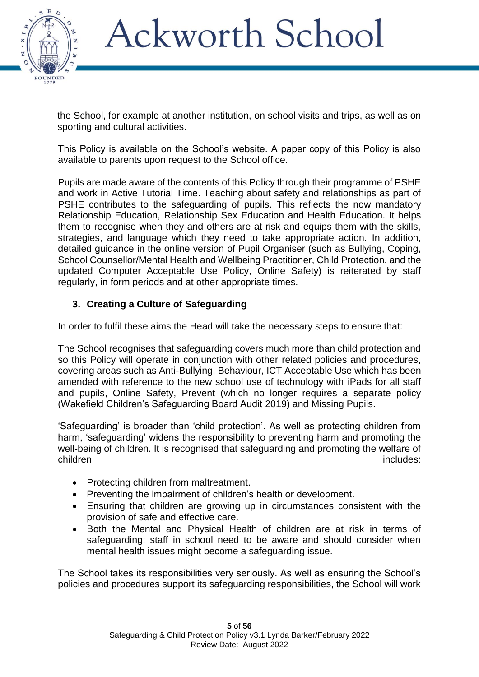

the School, for example at another institution, on school visits and trips, as well as on sporting and cultural activities.

This Policy is available on the School's website. A paper copy of this Policy is also available to parents upon request to the School office.

Pupils are made aware of the contents of this Policy through their programme of PSHE and work in Active Tutorial Time. Teaching about safety and relationships as part of PSHE contributes to the safeguarding of pupils. This reflects the now mandatory Relationship Education, Relationship Sex Education and Health Education. It helps them to recognise when they and others are at risk and equips them with the skills, strategies, and language which they need to take appropriate action. In addition, detailed guidance in the online version of Pupil Organiser (such as Bullying, Coping, School Counsellor/Mental Health and Wellbeing Practitioner, Child Protection, and the updated Computer Acceptable Use Policy, Online Safety) is reiterated by staff regularly, in form periods and at other appropriate times.

### **3. Creating a Culture of Safeguarding**

In order to fulfil these aims the Head will take the necessary steps to ensure that:

The School recognises that safeguarding covers much more than child protection and so this Policy will operate in conjunction with other related policies and procedures, covering areas such as Anti-Bullying, Behaviour, ICT Acceptable Use which has been amended with reference to the new school use of technology with iPads for all staff and pupils, Online Safety, Prevent (which no longer requires a separate policy (Wakefield Children's Safeguarding Board Audit 2019) and Missing Pupils.

'Safeguarding' is broader than 'child protection'. As well as protecting children from harm, 'safeguarding' widens the responsibility to preventing harm and promoting the well-being of children. It is recognised that safeguarding and promoting the welfare of children includes: includes:

- Protecting children from maltreatment.
- Preventing the impairment of children's health or development.
- Ensuring that children are growing up in circumstances consistent with the provision of safe and effective care.
- Both the Mental and Physical Health of children are at risk in terms of safeguarding; staff in school need to be aware and should consider when mental health issues might become a safeguarding issue.

The School takes its responsibilities very seriously. As well as ensuring the School's policies and procedures support its safeguarding responsibilities, the School will work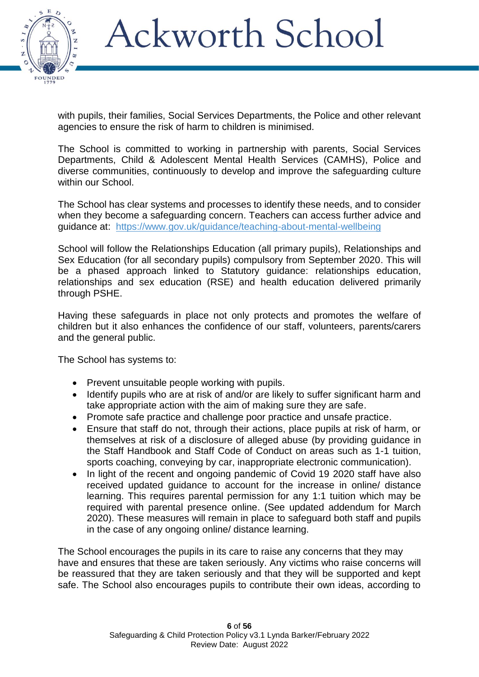

with pupils, their families, Social Services Departments, the Police and other relevant agencies to ensure the risk of harm to children is minimised.

The School is committed to working in partnership with parents, Social Services Departments, Child & Adolescent Mental Health Services (CAMHS), Police and diverse communities, continuously to develop and improve the safeguarding culture within our School.

The School has clear systems and processes to identify these needs, and to consider when they become a safeguarding concern. Teachers can access further advice and guidance at: <https://www.gov.uk/guidance/teaching-about-mental-wellbeing>

School will follow the Relationships Education (all primary pupils), Relationships and Sex Education (for all secondary pupils) compulsory from September 2020. This will be a phased approach linked to Statutory guidance: relationships education, relationships and sex education (RSE) and health education delivered primarily through PSHE.

Having these safeguards in place not only protects and promotes the welfare of children but it also enhances the confidence of our staff, volunteers, parents/carers and the general public.

The School has systems to:

- Prevent unsuitable people working with pupils.
- Identify pupils who are at risk of and/or are likely to suffer significant harm and take appropriate action with the aim of making sure they are safe.
- Promote safe practice and challenge poor practice and unsafe practice.
- Ensure that staff do not, through their actions, place pupils at risk of harm, or themselves at risk of a disclosure of alleged abuse (by providing guidance in the Staff Handbook and Staff Code of Conduct on areas such as 1-1 tuition, sports coaching, conveying by car, inappropriate electronic communication).
- In light of the recent and ongoing pandemic of Covid 19 2020 staff have also received updated guidance to account for the increase in online/ distance learning. This requires parental permission for any 1:1 tuition which may be required with parental presence online. (See updated addendum for March 2020). These measures will remain in place to safeguard both staff and pupils in the case of any ongoing online/ distance learning.

The School encourages the pupils in its care to raise any concerns that they may have and ensures that these are taken seriously. Any victims who raise concerns will be reassured that they are taken seriously and that they will be supported and kept safe. The School also encourages pupils to contribute their own ideas, according to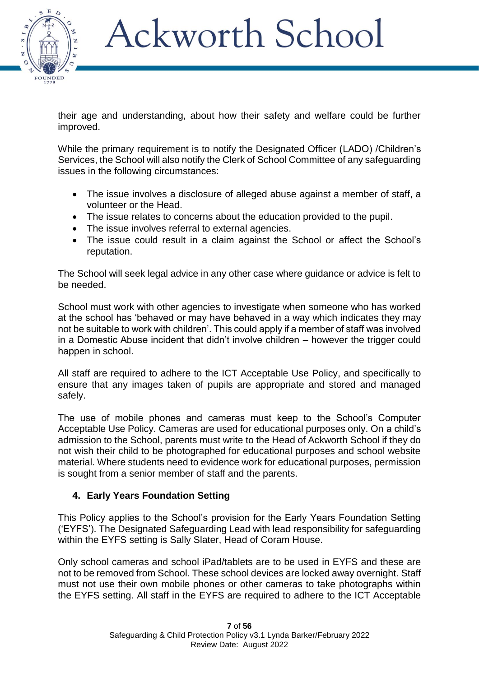

their age and understanding, about how their safety and welfare could be further improved.

While the primary requirement is to notify the Designated Officer (LADO) /Children's Services, the School will also notify the Clerk of School Committee of any safeguarding issues in the following circumstances:

- The issue involves a disclosure of alleged abuse against a member of staff, a volunteer or the Head.
- The issue relates to concerns about the education provided to the pupil.
- The issue involves referral to external agencies.
- The issue could result in a claim against the School or affect the School's reputation.

The School will seek legal advice in any other case where guidance or advice is felt to be needed.

School must work with other agencies to investigate when someone who has worked at the school has 'behaved or may have behaved in a way which indicates they may not be suitable to work with children'. This could apply if a member of staff was involved in a Domestic Abuse incident that didn't involve children – however the trigger could happen in school.

All staff are required to adhere to the ICT Acceptable Use Policy, and specifically to ensure that any images taken of pupils are appropriate and stored and managed safely.

The use of mobile phones and cameras must keep to the School's Computer Acceptable Use Policy. Cameras are used for educational purposes only. On a child's admission to the School, parents must write to the Head of Ackworth School if they do not wish their child to be photographed for educational purposes and school website material. Where students need to evidence work for educational purposes, permission is sought from a senior member of staff and the parents.

### **4. Early Years Foundation Setting**

This Policy applies to the School's provision for the Early Years Foundation Setting ('EYFS'). The Designated Safeguarding Lead with lead responsibility for safeguarding within the EYFS setting is Sally Slater, Head of Coram House.

Only school cameras and school iPad/tablets are to be used in EYFS and these are not to be removed from School. These school devices are locked away overnight. Staff must not use their own mobile phones or other cameras to take photographs within the EYFS setting. All staff in the EYFS are required to adhere to the ICT Acceptable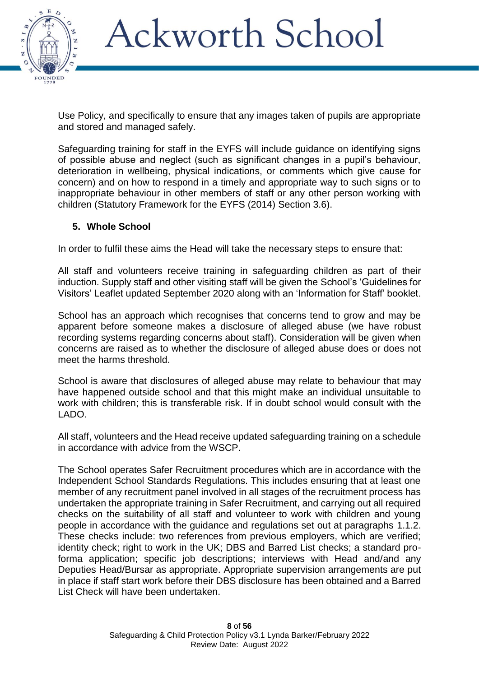

Use Policy, and specifically to ensure that any images taken of pupils are appropriate and stored and managed safely.

Safeguarding training for staff in the EYFS will include guidance on identifying signs of possible abuse and neglect (such as significant changes in a pupil's behaviour, deterioration in wellbeing, physical indications, or comments which give cause for concern) and on how to respond in a timely and appropriate way to such signs or to inappropriate behaviour in other members of staff or any other person working with children (Statutory Framework for the EYFS (2014) Section 3.6).

#### **5. Whole School**

In order to fulfil these aims the Head will take the necessary steps to ensure that:

All staff and volunteers receive training in safeguarding children as part of their induction. Supply staff and other visiting staff will be given the School's 'Guidelines for Visitors' Leaflet updated September 2020 along with an 'Information for Staff' booklet.

School has an approach which recognises that concerns tend to grow and may be apparent before someone makes a disclosure of alleged abuse (we have robust recording systems regarding concerns about staff). Consideration will be given when concerns are raised as to whether the disclosure of alleged abuse does or does not meet the harms threshold.

School is aware that disclosures of alleged abuse may relate to behaviour that may have happened outside school and that this might make an individual unsuitable to work with children; this is transferable risk. If in doubt school would consult with the LADO.

All staff, volunteers and the Head receive updated safeguarding training on a schedule in accordance with advice from the WSCP.

The School operates Safer Recruitment procedures which are in accordance with the Independent School Standards Regulations. This includes ensuring that at least one member of any recruitment panel involved in all stages of the recruitment process has undertaken the appropriate training in Safer Recruitment, and carrying out all required checks on the suitability of all staff and volunteer to work with children and young people in accordance with the guidance and regulations set out at paragraphs 1.1.2. These checks include: two references from previous employers, which are verified; identity check; right to work in the UK; DBS and Barred List checks; a standard proforma application; specific job descriptions; interviews with Head and/and any Deputies Head/Bursar as appropriate. Appropriate supervision arrangements are put in place if staff start work before their DBS disclosure has been obtained and a Barred List Check will have been undertaken.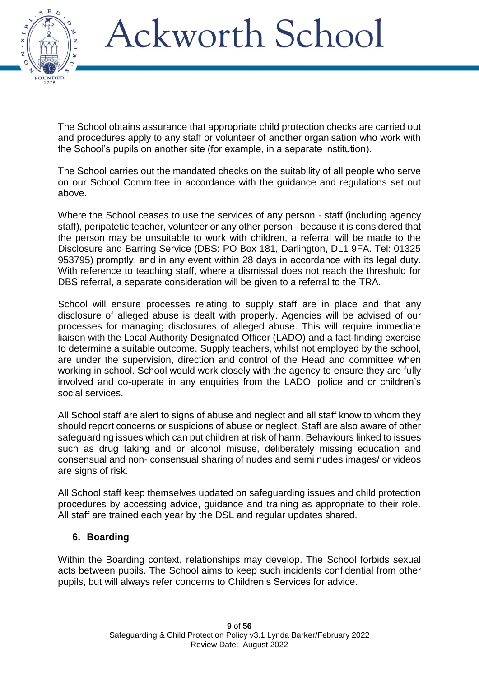

The School obtains assurance that appropriate child protection checks are carried out and procedures apply to any staff or volunteer of another organisation who work with the School's pupils on another site (for example, in a separate institution).

The School carries out the mandated checks on the suitability of all people who serve on our School Committee in accordance with the guidance and regulations set out above.

Where the School ceases to use the services of any person - staff (including agency staff), peripatetic teacher, volunteer or any other person - because it is considered that the person may be unsuitable to work with children, a referral will be made to the Disclosure and Barring Service (DBS: PO Box 181, Darlington, DL1 9FA. Tel: 01325 953795) promptly, and in any event within 28 days in accordance with its legal duty. With reference to teaching staff, where a dismissal does not reach the threshold for DBS referral, a separate consideration will be given to a referral to the TRA.

School will ensure processes relating to supply staff are in place and that any disclosure of alleged abuse is dealt with properly. Agencies will be advised of our processes for managing disclosures of alleged abuse. This will require immediate liaison with the Local Authority Designated Officer (LADO) and a fact-finding exercise to determine a suitable outcome. Supply teachers, whilst not employed by the school, are under the supervision, direction and control of the Head and committee when working in school. School would work closely with the agency to ensure they are fully involved and co-operate in any enquiries from the LADO, police and or children's social services.

All School staff are alert to signs of abuse and neglect and all staff know to whom they should report concerns or suspicions of abuse or neglect. Staff are also aware of other safeguarding issues which can put children at risk of harm. Behaviours linked to issues such as drug taking and or alcohol misuse, deliberately missing education and consensual and non- consensual sharing of nudes and semi nudes images/ or videos are signs of risk.

All School staff keep themselves updated on safeguarding issues and child protection procedures by accessing advice, guidance and training as appropriate to their role. All staff are trained each year by the DSL and regular updates shared.

#### **6. Boarding**

Within the Boarding context, relationships may develop. The School forbids sexual acts between pupils. The School aims to keep such incidents confidential from other pupils, but will always refer concerns to Children's Services for advice.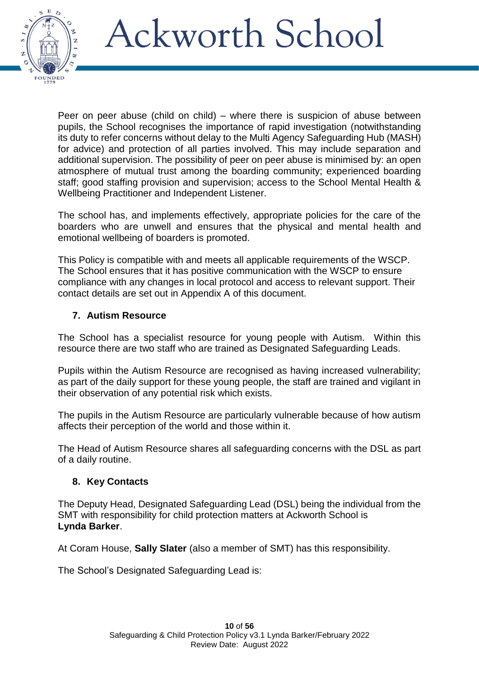

Peer on peer abuse (child on child) – where there is suspicion of abuse between pupils, the School recognises the importance of rapid investigation (notwithstanding its duty to refer concerns without delay to the Multi Agency Safeguarding Hub (MASH) for advice) and protection of all parties involved. This may include separation and additional supervision. The possibility of peer on peer abuse is minimised by: an open atmosphere of mutual trust among the boarding community; experienced boarding staff; good staffing provision and supervision; access to the School Mental Health & Wellbeing Practitioner and Independent Listener.

The school has, and implements effectively, appropriate policies for the care of the boarders who are unwell and ensures that the physical and mental health and emotional wellbeing of boarders is promoted.

This Policy is compatible with and meets all applicable requirements of the WSCP. The School ensures that it has positive communication with the WSCP to ensure compliance with any changes in local protocol and access to relevant support. Their contact details are set out in Appendix A of this document.

### **7. Autism Resource**

The School has a specialist resource for young people with Autism. Within this resource there are two staff who are trained as Designated Safeguarding Leads.

Pupils within the Autism Resource are recognised as having increased vulnerability; as part of the daily support for these young people, the staff are trained and vigilant in their observation of any potential risk which exists.

The pupils in the Autism Resource are particularly vulnerable because of how autism affects their perception of the world and those within it.

The Head of Autism Resource shares all safeguarding concerns with the DSL as part of a daily routine.

#### **8. Key Contacts**

The Deputy Head, Designated Safeguarding Lead (DSL) being the individual from the SMT with responsibility for child protection matters at Ackworth School is **Lynda Barker**.

At Coram House, **Sally Slater** (also a member of SMT) has this responsibility.

The School's Designated Safeguarding Lead is: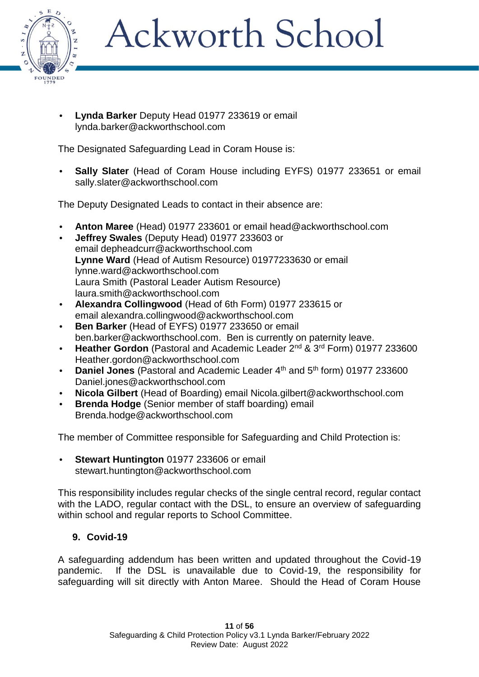

**• Lynda Barker** Deputy Head 01977 233619 or email [lynda.barker@ackworthschool.com](mailto:lynda.barker@ackworthschool.com)

The Designated Safeguarding Lead in Coram House is:

**• Sally Slater** (Head of Coram House including EYFS) 01977 233651 or email [sally.slater@ackworthschool.com](mailto:sally.slater@ackworthschool.com)

The Deputy Designated Leads to contact in their absence are:

- **• Anton Maree** (Head) 01977 233601 or email head@ackworthschool.com
- **• Jeffrey Swales** (Deputy Head) 01977 233603 or email [depheadcurr@ackworthschool.com](mailto:depheadcurr@ackworthschool.com) **Lynne Ward** (Head of Autism Resource) 01977233630 or email [lynne.ward@ackworthschool.com](mailto:lynne.ward@ackworthschool.com) Laura Smith (Pastoral Leader Autism Resource) [laura.smith@ackworthschool.com](mailto:laura.smith@ackworthschool.com)
- **• Alexandra Collingwood** (Head of 6th Form) 01977 233615 or email [alexandra.collingwood@ackworthschool.com](mailto:alexandra.collingwood@ackworthschool.com)
- **• Ben Barker** (Head of EYFS) 01977 233650 or email [ben.barker@ackworthschool.com.](mailto:ben.barker@ackworthschool.com) Ben is currently on paternity leave.
- **• Heather Gordon** (Pastoral and Academic Leader 2nd & 3rd Form) 01977 233600 Heather.gordon@ackworthschool.com
- **Daniel Jones** (Pastoral and Academic Leader 4<sup>th</sup> and 5<sup>th</sup> form) 01977 233600 [Daniel.jones@ackworthschool.com](mailto:Daniel.jones@ackworthschool.com)
- **• Nicola Gilbert** (Head of Boarding) email [Nicola.gilbert@ackworthschool.com](mailto:Nicola.gilbert@ackworthschool.com)
- **• Brenda Hodge** (Senior member of staff boarding) email [Brenda.hodge@ackworthschool.com](mailto:Brenda.hodge@ackworthschool.com)

The member of Committee responsible for Safeguarding and Child Protection is:

**• Stewart Huntington** 01977 233606 or email [stewart.huntington@ackworthschool.com](mailto:stewart.huntington@ackworthschool.com)

This responsibility includes regular checks of the single central record, regular contact with the LADO, regular contact with the DSL, to ensure an overview of safeguarding within school and regular reports to School Committee.

### **9. Covid-19**

A safeguarding addendum has been written and updated throughout the Covid-19 pandemic. If the DSL is unavailable due to Covid-19, the responsibility for safeguarding will sit directly with Anton Maree. Should the Head of Coram House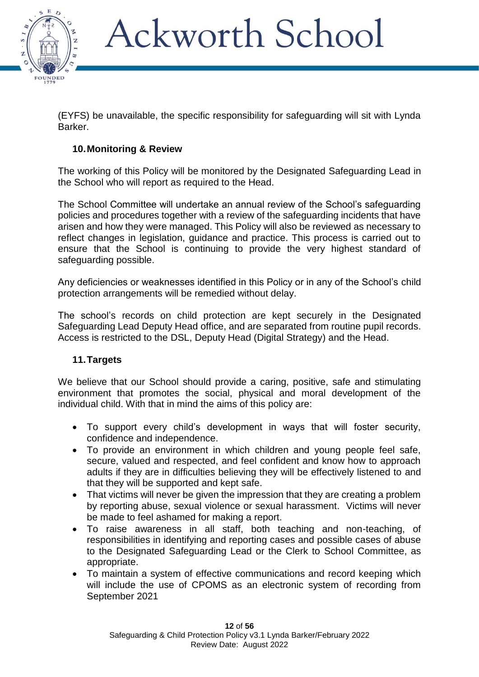

(EYFS) be unavailable, the specific responsibility for safeguarding will sit with Lynda Barker.

### **10.Monitoring & Review**

The working of this Policy will be monitored by the Designated Safeguarding Lead in the School who will report as required to the Head.

The School Committee will undertake an annual review of the School's safeguarding policies and procedures together with a review of the safeguarding incidents that have arisen and how they were managed. This Policy will also be reviewed as necessary to reflect changes in legislation, guidance and practice. This process is carried out to ensure that the School is continuing to provide the very highest standard of safeguarding possible.

Any deficiencies or weaknesses identified in this Policy or in any of the School's child protection arrangements will be remedied without delay.

The school's records on child protection are kept securely in the Designated Safeguarding Lead Deputy Head office, and are separated from routine pupil records. Access is restricted to the DSL, Deputy Head (Digital Strategy) and the Head.

#### **11.Targets**

We believe that our School should provide a caring, positive, safe and stimulating environment that promotes the social, physical and moral development of the individual child. With that in mind the aims of this policy are:

- To support every child's development in ways that will foster security, confidence and independence.
- To provide an environment in which children and young people feel safe, secure, valued and respected, and feel confident and know how to approach adults if they are in difficulties believing they will be effectively listened to and that they will be supported and kept safe.
- That victims will never be given the impression that they are creating a problem by reporting abuse, sexual violence or sexual harassment. Victims will never be made to feel ashamed for making a report.
- To raise awareness in all staff, both teaching and non-teaching, of responsibilities in identifying and reporting cases and possible cases of abuse to the Designated Safeguarding Lead or the Clerk to School Committee, as appropriate.
- To maintain a system of effective communications and record keeping which will include the use of CPOMS as an electronic system of recording from September 2021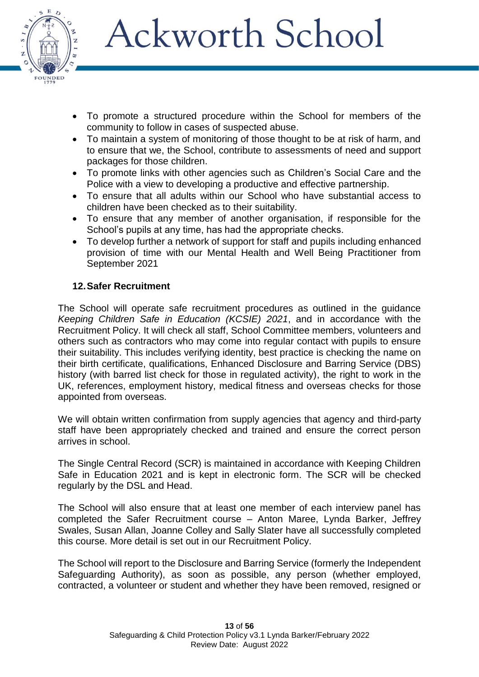

- To promote a structured procedure within the School for members of the community to follow in cases of suspected abuse.
- To maintain a system of monitoring of those thought to be at risk of harm, and to ensure that we, the School, contribute to assessments of need and support packages for those children.
- To promote links with other agencies such as Children's Social Care and the Police with a view to developing a productive and effective partnership.
- To ensure that all adults within our School who have substantial access to children have been checked as to their suitability.
- To ensure that any member of another organisation, if responsible for the School's pupils at any time, has had the appropriate checks.
- To develop further a network of support for staff and pupils including enhanced provision of time with our Mental Health and Well Being Practitioner from September 2021

### **12.Safer Recruitment**

The School will operate safe recruitment procedures as outlined in the guidance *Keeping Children Safe in Education (KCSIE) 2021*, and in accordance with the Recruitment Policy. It will check all staff, School Committee members, volunteers and others such as contractors who may come into regular contact with pupils to ensure their suitability. This includes verifying identity, best practice is checking the name on their birth certificate, qualifications, Enhanced Disclosure and Barring Service (DBS) history (with barred list check for those in regulated activity), the right to work in the UK, references, employment history, medical fitness and overseas checks for those appointed from overseas.

We will obtain written confirmation from supply agencies that agency and third-party staff have been appropriately checked and trained and ensure the correct person arrives in school.

The Single Central Record (SCR) is maintained in accordance with Keeping Children Safe in Education 2021 and is kept in electronic form. The SCR will be checked regularly by the DSL and Head.

The School will also ensure that at least one member of each interview panel has completed the Safer Recruitment course – Anton Maree, Lynda Barker, Jeffrey Swales, Susan Allan, Joanne Colley and Sally Slater have all successfully completed this course. More detail is set out in our Recruitment Policy.

The School will report to the Disclosure and Barring Service (formerly the Independent Safeguarding Authority), as soon as possible, any person (whether employed, contracted, a volunteer or student and whether they have been removed, resigned or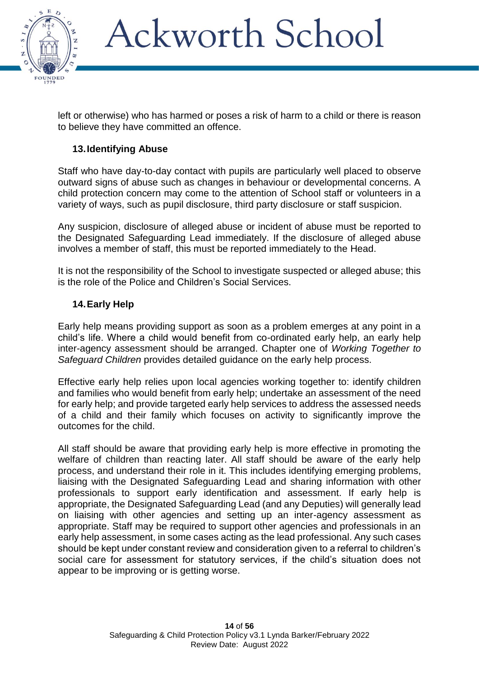

left or otherwise) who has harmed or poses a risk of harm to a child or there is reason to believe they have committed an offence.

### **13.Identifying Abuse**

Staff who have day-to-day contact with pupils are particularly well placed to observe outward signs of abuse such as changes in behaviour or developmental concerns. A child protection concern may come to the attention of School staff or volunteers in a variety of ways, such as pupil disclosure, third party disclosure or staff suspicion.

Any suspicion, disclosure of alleged abuse or incident of abuse must be reported to the Designated Safeguarding Lead immediately. If the disclosure of alleged abuse involves a member of staff, this must be reported immediately to the Head.

It is not the responsibility of the School to investigate suspected or alleged abuse; this is the role of the Police and Children's Social Services.

#### **14.Early Help**

Early help means providing support as soon as a problem emerges at any point in a child's life. Where a child would benefit from co-ordinated early help, an early help inter-agency assessment should be arranged. Chapter one of *Working Together to Safeguard Children* provides detailed guidance on the early help process.

Effective early help relies upon local agencies working together to: identify children and families who would benefit from early help; undertake an assessment of the need for early help; and provide targeted early help services to address the assessed needs of a child and their family which focuses on activity to significantly improve the outcomes for the child.

All staff should be aware that providing early help is more effective in promoting the welfare of children than reacting later. All staff should be aware of the early help process, and understand their role in it. This includes identifying emerging problems, liaising with the Designated Safeguarding Lead and sharing information with other professionals to support early identification and assessment. If early help is appropriate, the Designated Safeguarding Lead (and any Deputies) will generally lead on liaising with other agencies and setting up an inter-agency assessment as appropriate. Staff may be required to support other agencies and professionals in an early help assessment, in some cases acting as the lead professional. Any such cases should be kept under constant review and consideration given to a referral to children's social care for assessment for statutory services, if the child's situation does not appear to be improving or is getting worse.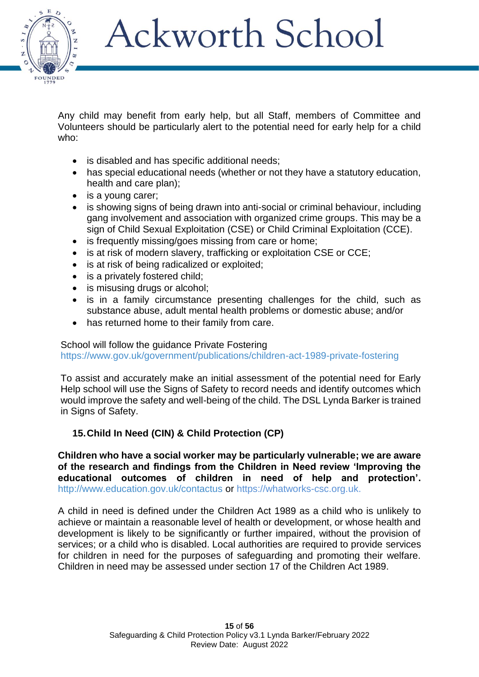

Any child may benefit from early help, but all Staff, members of Committee and Volunteers should be particularly alert to the potential need for early help for a child who:

- is disabled and has specific additional needs;
- has special educational needs (whether or not they have a statutory education, health and care plan);
- is a voung carer:
- is showing signs of being drawn into anti-social or criminal behaviour, including gang involvement and association with organized crime groups. This may be a sign of Child Sexual Exploitation (CSE) or Child Criminal Exploitation (CCE).
- is frequently missing/goes missing from care or home;
- is at risk of modern slavery, trafficking or exploitation CSE or CCE;
- is at risk of being radicalized or exploited;
- is a privately fostered child;
- is misusing drugs or alcohol;
- is in a family circumstance presenting challenges for the child, such as substance abuse, adult mental health problems or domestic abuse; and/or
- has returned home to their family from care.

#### School will follow the guidance Private Fostering

<https://www.gov.uk/government/publications/children-act-1989-private-fostering>

To assist and accurately make an initial assessment of the potential need for Early Help school will use the Signs of Safety to record needs and identify outcomes which would improve the safety and well-being of the child. The DSL Lynda Barker is trained in Signs of Safety.

### **15.Child In Need (CIN) & Child Protection (CP)**

**Children who have a social worker may be particularly vulnerable; we are aware of the research and findings from the Children in Need review 'Improving the educational outcomes of children in need of help and protection'.** <http://www.education.gov.uk/contactus> or [https://whatworks-csc.org.uk.](https://whatworks-csc.org.uk/)

A child in need is defined under the Children Act 1989 as a child who is unlikely to achieve or maintain a reasonable level of health or development, or whose health and development is likely to be significantly or further impaired, without the provision of services; or a child who is disabled. Local authorities are required to provide services for children in need for the purposes of safeguarding and promoting their welfare. Children in need may be assessed under section 17 of the Children Act 1989.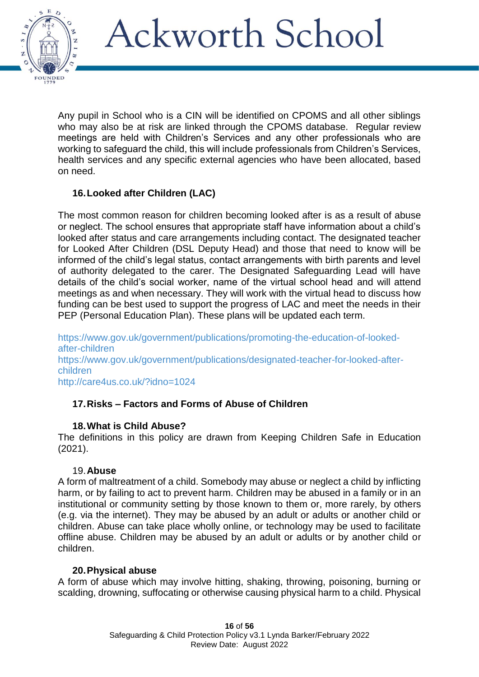

Any pupil in School who is a CIN will be identified on CPOMS and all other siblings who may also be at risk are linked through the CPOMS database. Regular review meetings are held with Children's Services and any other professionals who are working to safeguard the child, this will include professionals from Children's Services, health services and any specific external agencies who have been allocated, based on need.

### **16.Looked after Children (LAC)**

The most common reason for children becoming looked after is as a result of abuse or neglect. The school ensures that appropriate staff have information about a child's looked after status and care arrangements including contact. The designated teacher for Looked After Children (DSL Deputy Head) and those that need to know will be informed of the child's legal status, contact arrangements with birth parents and level of authority delegated to the carer. The Designated Safeguarding Lead will have details of the child's social worker, name of the virtual school head and will attend meetings as and when necessary. They will work with the virtual head to discuss how funding can be best used to support the progress of LAC and meet the needs in their PEP (Personal Education Plan). These plans will be updated each term.

[https://www.gov.uk/government/publications/promoting-the-education-of-looked](https://www.gov.uk/government/publications/promoting-the-education-of-looked-after-children)[after-children](https://www.gov.uk/government/publications/promoting-the-education-of-looked-after-children) [https://www.gov.uk/government/publications/designated-teacher-for-looked-after](https://www.gov.uk/government/publications/designated-teacher-for-looked-after-children)[children](https://www.gov.uk/government/publications/designated-teacher-for-looked-after-children) <http://care4us.co.uk/?idno=1024>

### **17.Risks – Factors and Forms of Abuse of Children**

### **18.What is Child Abuse?**

The definitions in this policy are drawn from Keeping Children Safe in Education (2021).

### 19.**Abuse**

A form of maltreatment of a child. Somebody may abuse or neglect a child by inflicting harm, or by failing to act to prevent harm. Children may be abused in a family or in an institutional or community setting by those known to them or, more rarely, by others (e.g. via the internet). They may be abused by an adult or adults or another child or children. Abuse can take place wholly online, or technology may be used to facilitate offline abuse. Children may be abused by an adult or adults or by another child or children.

#### **20.Physical abuse**

A form of abuse which may involve hitting, shaking, throwing, poisoning, burning or scalding, drowning, suffocating or otherwise causing physical harm to a child. Physical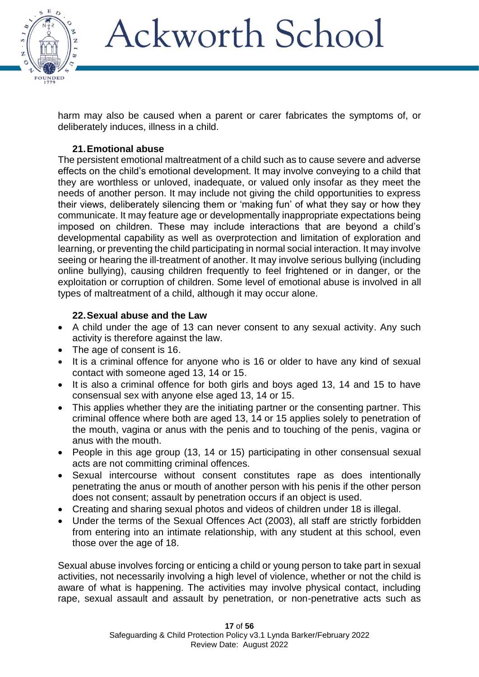

harm may also be caused when a parent or carer fabricates the symptoms of, or deliberately induces, illness in a child.

### **21.Emotional abuse**

The persistent emotional maltreatment of a child such as to cause severe and adverse effects on the child's emotional development. It may involve conveying to a child that they are worthless or unloved, inadequate, or valued only insofar as they meet the needs of another person. It may include not giving the child opportunities to express their views, deliberately silencing them or 'making fun' of what they say or how they communicate. It may feature age or developmentally inappropriate expectations being imposed on children. These may include interactions that are beyond a child's developmental capability as well as overprotection and limitation of exploration and learning, or preventing the child participating in normal social interaction. It may involve seeing or hearing the ill-treatment of another. It may involve serious bullying (including online bullying), causing children frequently to feel frightened or in danger, or the exploitation or corruption of children. Some level of emotional abuse is involved in all types of maltreatment of a child, although it may occur alone.

### **22.Sexual abuse and the Law**

- A child under the age of 13 can never consent to any sexual activity. Any such activity is therefore against the law.
- The age of consent is 16.
- It is a criminal offence for anyone who is 16 or older to have any kind of sexual contact with someone aged 13, 14 or 15.
- It is also a criminal offence for both girls and boys aged 13, 14 and 15 to have consensual sex with anyone else aged 13, 14 or 15.
- This applies whether they are the initiating partner or the consenting partner. This criminal offence where both are aged 13, 14 or 15 applies solely to penetration of the mouth, vagina or anus with the penis and to touching of the penis, vagina or anus with the mouth.
- People in this age group (13, 14 or 15) participating in other consensual sexual acts are not committing criminal offences.
- Sexual intercourse without consent constitutes rape as does intentionally penetrating the anus or mouth of another person with his penis if the other person does not consent; assault by penetration occurs if an object is used.
- Creating and sharing sexual photos and videos of children under 18 is illegal.
- Under the terms of the Sexual Offences Act (2003), all staff are strictly forbidden from entering into an intimate relationship, with any student at this school, even those over the age of 18.

Sexual abuse involves forcing or enticing a child or young person to take part in sexual activities, not necessarily involving a high level of violence, whether or not the child is aware of what is happening. The activities may involve physical contact, including rape, sexual assault and assault by penetration, or non-penetrative acts such as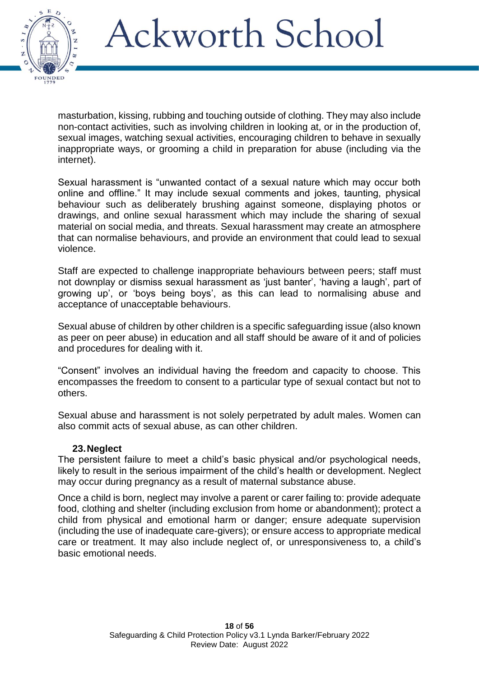

masturbation, kissing, rubbing and touching outside of clothing. They may also include non-contact activities, such as involving children in looking at, or in the production of, sexual images, watching sexual activities, encouraging children to behave in sexually inappropriate ways, or grooming a child in preparation for abuse (including via the internet).

Sexual harassment is "unwanted contact of a sexual nature which may occur both online and offline." It may include sexual comments and jokes, taunting, physical behaviour such as deliberately brushing against someone, displaying photos or drawings, and online sexual harassment which may include the sharing of sexual material on social media, and threats. Sexual harassment may create an atmosphere that can normalise behaviours, and provide an environment that could lead to sexual violence.

Staff are expected to challenge inappropriate behaviours between peers; staff must not downplay or dismiss sexual harassment as 'just banter', 'having a laugh', part of growing up', or 'boys being boys', as this can lead to normalising abuse and acceptance of unacceptable behaviours.

Sexual abuse of children by other children is a specific safeguarding issue (also known as peer on peer abuse) in education and all staff should be aware of it and of policies and procedures for dealing with it.

"Consent" involves an individual having the freedom and capacity to choose. This encompasses the freedom to consent to a particular type of sexual contact but not to others.

Sexual abuse and harassment is not solely perpetrated by adult males. Women can also commit acts of sexual abuse, as can other children.

#### **23.Neglect**

The persistent failure to meet a child's basic physical and/or psychological needs, likely to result in the serious impairment of the child's health or development. Neglect may occur during pregnancy as a result of maternal substance abuse.

Once a child is born, neglect may involve a parent or carer failing to: provide adequate food, clothing and shelter (including exclusion from home or abandonment); protect a child from physical and emotional harm or danger; ensure adequate supervision (including the use of inadequate care-givers); or ensure access to appropriate medical care or treatment. It may also include neglect of, or unresponsiveness to, a child's basic emotional needs.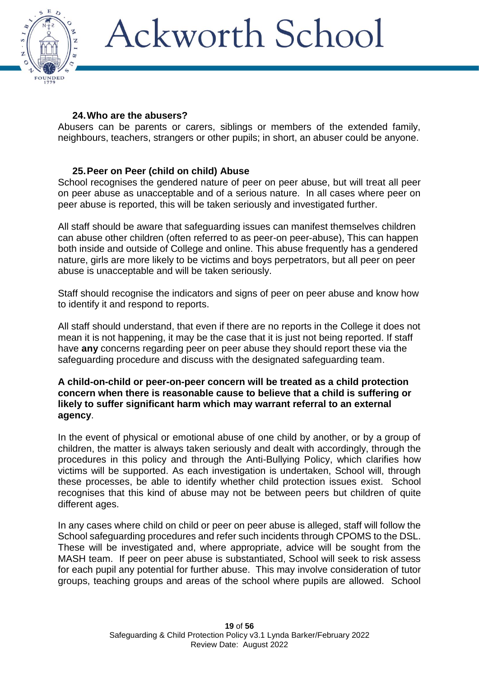

### **24.Who are the abusers?**

Abusers can be parents or carers, siblings or members of the extended family, neighbours, teachers, strangers or other pupils; in short, an abuser could be anyone.

### **25.Peer on Peer (child on child) Abuse**

School recognises the gendered nature of peer on peer abuse, but will treat all peer on peer abuse as unacceptable and of a serious nature. In all cases where peer on peer abuse is reported, this will be taken seriously and investigated further.

All staff should be aware that safeguarding issues can manifest themselves children can abuse other children (often referred to as peer-on peer-abuse), This can happen both inside and outside of College and online. This abuse frequently has a gendered nature, girls are more likely to be victims and boys perpetrators, but all peer on peer abuse is unacceptable and will be taken seriously.

Staff should recognise the indicators and signs of peer on peer abuse and know how to identify it and respond to reports.

All staff should understand, that even if there are no reports in the College it does not mean it is not happening, it may be the case that it is just not being reported. If staff have **any** concerns regarding peer on peer abuse they should report these via the safeguarding procedure and discuss with the designated safeguarding team.

#### **A child-on-child or peer-on-peer concern will be treated as a child protection concern when there is reasonable cause to believe that a child is suffering or likely to suffer significant harm which may warrant referral to an external agency**.

In the event of physical or emotional abuse of one child by another, or by a group of children, the matter is always taken seriously and dealt with accordingly, through the procedures in this policy and through the Anti-Bullying Policy, which clarifies how victims will be supported. As each investigation is undertaken, School will, through these processes, be able to identify whether child protection issues exist. School recognises that this kind of abuse may not be between peers but children of quite different ages.

In any cases where child on child or peer on peer abuse is alleged, staff will follow the School safeguarding procedures and refer such incidents through CPOMS to the DSL. These will be investigated and, where appropriate, advice will be sought from the MASH team. If peer on peer abuse is substantiated, School will seek to risk assess for each pupil any potential for further abuse. This may involve consideration of tutor groups, teaching groups and areas of the school where pupils are allowed. School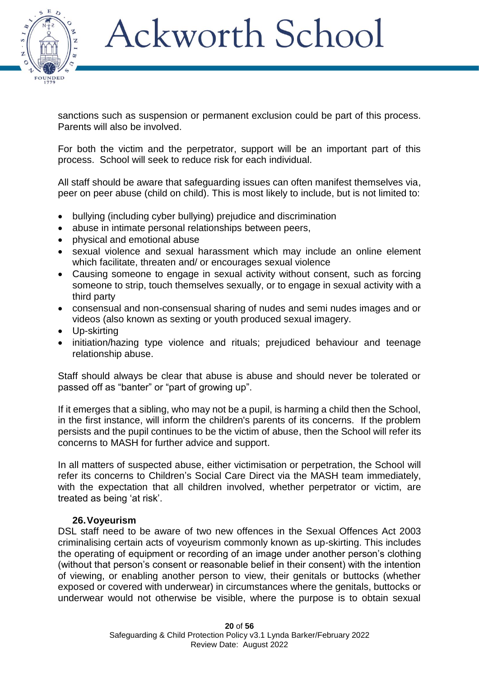

sanctions such as suspension or permanent exclusion could be part of this process. Parents will also be involved.

For both the victim and the perpetrator, support will be an important part of this process. School will seek to reduce risk for each individual.

All staff should be aware that safeguarding issues can often manifest themselves via, peer on peer abuse (child on child). This is most likely to include, but is not limited to:

- bullying (including cyber bullying) prejudice and discrimination
- abuse in intimate personal relationships between peers,
- physical and emotional abuse
- sexual violence and sexual harassment which may include an online element which facilitate, threaten and/ or encourages sexual violence
- Causing someone to engage in sexual activity without consent, such as forcing someone to strip, touch themselves sexually, or to engage in sexual activity with a third party
- consensual and non-consensual sharing of nudes and semi nudes images and or videos (also known as sexting or youth produced sexual imagery.
- Up-skirting
- initiation/hazing type violence and rituals; prejudiced behaviour and teenage relationship abuse.

Staff should always be clear that abuse is abuse and should never be tolerated or passed off as "banter" or "part of growing up".

If it emerges that a sibling, who may not be a pupil, is harming a child then the School, in the first instance, will inform the children's parents of its concerns. If the problem persists and the pupil continues to be the victim of abuse, then the School will refer its concerns to MASH for further advice and support.

In all matters of suspected abuse, either victimisation or perpetration, the School will refer its concerns to Children's Social Care Direct via the MASH team immediately, with the expectation that all children involved, whether perpetrator or victim, are treated as being 'at risk'.

#### **26.Voyeurism**

DSL staff need to be aware of two new offences in the Sexual Offences Act 2003 criminalising certain acts of voyeurism commonly known as up-skirting. This includes the operating of equipment or recording of an image under another person's clothing (without that person's consent or reasonable belief in their consent) with the intention of viewing, or enabling another person to view, their genitals or buttocks (whether exposed or covered with underwear) in circumstances where the genitals, buttocks or underwear would not otherwise be visible, where the purpose is to obtain sexual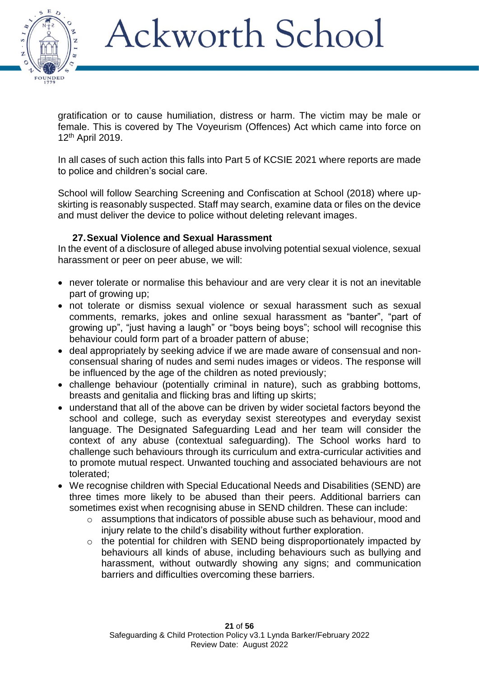

gratification or to cause humiliation, distress or harm. The victim may be male or female. This is covered by The Voyeurism (Offences) Act which came into force on 12th April 2019.

In all cases of such action this falls into Part 5 of KCSIE 2021 where reports are made to police and children's social care.

School will follow Searching Screening and Confiscation at School (2018) where upskirting is reasonably suspected. Staff may search, examine data or files on the device and must deliver the device to police without deleting relevant images.

### **27.Sexual Violence and Sexual Harassment**

In the event of a disclosure of alleged abuse involving potential sexual violence, sexual harassment or peer on peer abuse, we will:

- never tolerate or normalise this behaviour and are very clear it is not an inevitable part of growing up;
- not tolerate or dismiss sexual violence or sexual harassment such as sexual comments, remarks, jokes and online sexual harassment as "banter", "part of growing up", "just having a laugh" or "boys being boys"; school will recognise this behaviour could form part of a broader pattern of abuse;
- deal appropriately by seeking advice if we are made aware of consensual and nonconsensual sharing of nudes and semi nudes images or videos. The response will be influenced by the age of the children as noted previously;
- challenge behaviour (potentially criminal in nature), such as grabbing bottoms, breasts and genitalia and flicking bras and lifting up skirts;
- understand that all of the above can be driven by wider societal factors beyond the school and college, such as everyday sexist stereotypes and everyday sexist language. The Designated Safeguarding Lead and her team will consider the context of any abuse (contextual safeguarding). The School works hard to challenge such behaviours through its curriculum and extra-curricular activities and to promote mutual respect. Unwanted touching and associated behaviours are not tolerated;
- We recognise children with Special Educational Needs and Disabilities (SEND) are three times more likely to be abused than their peers. Additional barriers can sometimes exist when recognising abuse in SEND children. These can include:
	- o assumptions that indicators of possible abuse such as behaviour, mood and injury relate to the child's disability without further exploration.
	- o the potential for children with SEND being disproportionately impacted by behaviours all kinds of abuse, including behaviours such as bullying and harassment, without outwardly showing any signs; and communication barriers and difficulties overcoming these barriers.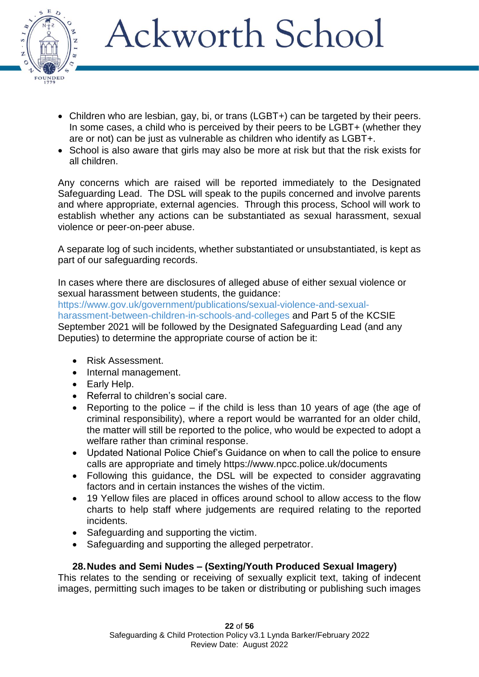

- Children who are lesbian, gay, bi, or trans (LGBT+) can be targeted by their peers. In some cases, a child who is perceived by their peers to be LGBT+ (whether they are or not) can be just as vulnerable as children who identify as LGBT+.
- School is also aware that girls may also be more at risk but that the risk exists for all children.

Any concerns which are raised will be reported immediately to the Designated Safeguarding Lead. The DSL will speak to the pupils concerned and involve parents and where appropriate, external agencies. Through this process, School will work to establish whether any actions can be substantiated as sexual harassment, sexual violence or peer-on-peer abuse.

A separate log of such incidents, whether substantiated or unsubstantiated, is kept as part of our safeguarding records.

In cases where there are disclosures of alleged abuse of either sexual violence or sexual harassment between students, the guidance:

[https://www.gov.uk/government/publications/sexual-violence-and-sexual](https://www.gov.uk/government/publications/sexual-violence-and-sexual-harassment-between-children-in-schools-and-colleges)[harassment-between-children-in-schools-and-colleges](https://www.gov.uk/government/publications/sexual-violence-and-sexual-harassment-between-children-in-schools-and-colleges) and Part 5 of the KCSIE September 2021 will be followed by the Designated Safeguarding Lead (and any Deputies) to determine the appropriate course of action be it:

- Risk Assessment.
- Internal management.
- Early Help.
- Referral to children's social care.
- Reporting to the police if the child is less than 10 years of age (the age of criminal responsibility), where a report would be warranted for an older child, the matter will still be reported to the police, who would be expected to adopt a welfare rather than criminal response.
- Updated National Police Chief's Guidance on when to call the police to ensure calls are appropriate and timely <https://www.npcc.police.uk/documents>
- Following this guidance, the DSL will be expected to consider aggravating factors and in certain instances the wishes of the victim.
- 19 Yellow files are placed in offices around school to allow access to the flow charts to help staff where judgements are required relating to the reported incidents.
- Safeguarding and supporting the victim.
- Safeguarding and supporting the alleged perpetrator.

### **28.Nudes and Semi Nudes – (Sexting/Youth Produced Sexual Imagery)**

This relates to the sending or receiving of sexually explicit text, taking of indecent images, permitting such images to be taken or distributing or publishing such images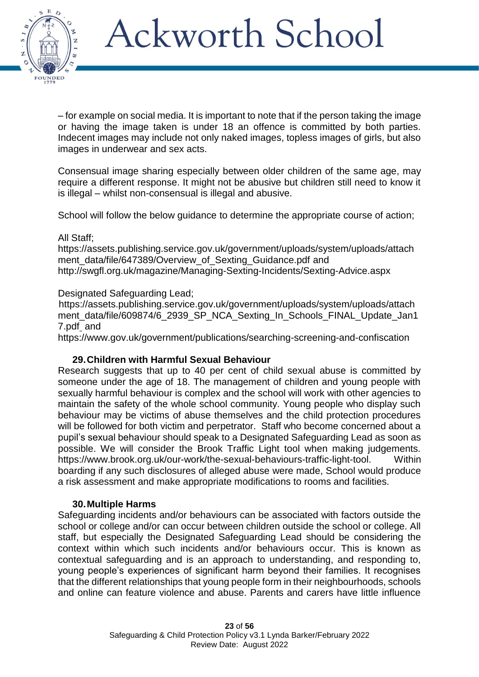

– for example on social media. It is important to note that if the person taking the image or having the image taken is under 18 an offence is committed by both parties. Indecent images may include not only naked images, topless images of girls, but also images in underwear and sex acts.

Consensual image sharing especially between older children of the same age, may require a different response. It might not be abusive but children still need to know it is illegal – whilst non-consensual is illegal and abusive.

School will follow the below guidance to determine the appropriate course of action;

#### All Staff;

[https://assets.publishing.service.gov.uk/government/uploads/system/uploads/attach](https://assets.publishing.service.gov.uk/government/uploads/system/uploads/attachment_data/file/647389/Overview_of_Sexting_Guidance.pdf) [ment\\_data/file/647389/Overview\\_of\\_Sexting\\_Guidance.pdf](https://assets.publishing.service.gov.uk/government/uploads/system/uploads/attachment_data/file/647389/Overview_of_Sexting_Guidance.pdf) and <http://swgfl.org.uk/magazine/Managing-Sexting-Incidents/Sexting-Advice.aspx>

#### Designated Safeguarding Lead;

[https://assets.publishing.service.gov.uk/government/uploads/system/uploads/attach](https://assets.publishing.service.gov.uk/government/uploads/system/uploads/attachment_data/file/609874/6_2939_SP_NCA_Sexting_In_Schools_FINAL_Update_Jan17.pdf) [ment\\_data/file/609874/6\\_2939\\_SP\\_NCA\\_Sexting\\_In\\_Schools\\_FINAL\\_Update\\_Jan1](https://assets.publishing.service.gov.uk/government/uploads/system/uploads/attachment_data/file/609874/6_2939_SP_NCA_Sexting_In_Schools_FINAL_Update_Jan17.pdf) [7.pdf](https://assets.publishing.service.gov.uk/government/uploads/system/uploads/attachment_data/file/609874/6_2939_SP_NCA_Sexting_In_Schools_FINAL_Update_Jan17.pdf) and

<https://www.gov.uk/government/publications/searching-screening-and-confiscation>

#### **29.Children with Harmful Sexual Behaviour**

Research suggests that up to 40 per cent of child sexual abuse is committed by someone under the age of 18. The management of children and young people with sexually harmful behaviour is complex and the school will work with other agencies to maintain the safety of the whole school community. Young people who display such behaviour may be victims of abuse themselves and the child protection procedures will be followed for both victim and perpetrator. Staff who become concerned about a pupil's sexual behaviour should speak to a Designated Safeguarding Lead as soon as possible. We will consider the Brook Traffic Light tool when making judgements. [https://www.brook.org.uk/our-work/the-sexual-behaviours-traffic-light-tool.](https://www.brook.org.uk/our-work/the-sexual-behaviours-traffic-light-tool) Within boarding if any such disclosures of alleged abuse were made, School would produce a risk assessment and make appropriate modifications to rooms and facilities.

#### **30.Multiple Harms**

Safeguarding incidents and/or behaviours can be associated with factors outside the school or college and/or can occur between children outside the school or college. All staff, but especially the Designated Safeguarding Lead should be considering the context within which such incidents and/or behaviours occur. This is known as contextual safeguarding and is an approach to understanding, and responding to, young people's experiences of significant harm beyond their families. It recognises that the different relationships that young people form in their neighbourhoods, schools and online can feature violence and abuse. Parents and carers have little influence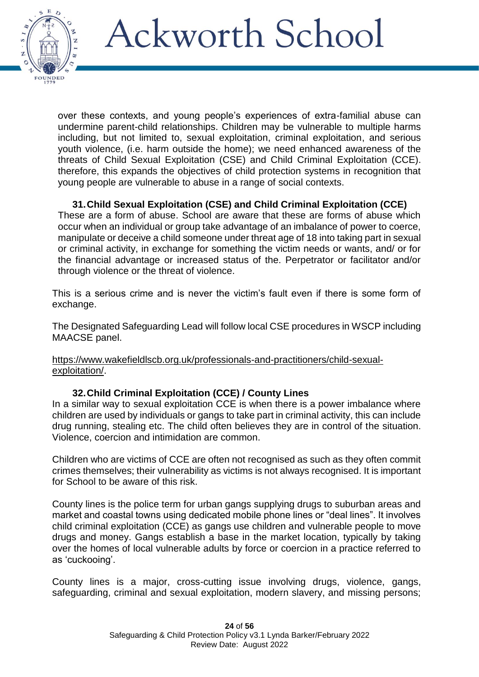

over these contexts, and young people's experiences of extra-familial abuse can undermine parent-child relationships. Children may be vulnerable to multiple harms including, but not limited to, sexual exploitation, criminal exploitation, and serious youth violence, (i.e. harm outside the home); we need enhanced awareness of the threats of Child Sexual Exploitation (CSE) and Child Criminal Exploitation (CCE). therefore, this expands the objectives of child protection systems in recognition that young people are vulnerable to abuse in a range of social contexts.

### **31.Child Sexual Exploitation (CSE) and Child Criminal Exploitation (CCE)**

These are a form of abuse. School are aware that these are forms of abuse which occur when an individual or group take advantage of an imbalance of power to coerce, manipulate or deceive a child someone under threat age of 18 into taking part in sexual or criminal activity, in exchange for something the victim needs or wants, and/ or for the financial advantage or increased status of the. Perpetrator or facilitator and/or through violence or the threat of violence.

This is a serious crime and is never the victim's fault even if there is some form of exchange.

The Designated Safeguarding Lead will follow local CSE procedures in WSCP including MAACSE panel.

[https://www.wakefieldlscb.org.uk/professionals-and-practitioners/child-sexual](https://www.wakefieldlscb.org.uk/professionals-and-practitioners/child-sexual-exploitation/)[exploitation/.](https://www.wakefieldlscb.org.uk/professionals-and-practitioners/child-sexual-exploitation/)

### **32.Child Criminal Exploitation (CCE) / County Lines**

In a similar way to sexual exploitation CCE is when there is a power imbalance where children are used by individuals or gangs to take part in criminal activity, this can include drug running, stealing etc. The child often believes they are in control of the situation. Violence, coercion and intimidation are common.

Children who are victims of CCE are often not recognised as such as they often commit crimes themselves; their vulnerability as victims is not always recognised. It is important for School to be aware of this risk.

County lines is the police term for urban gangs supplying drugs to suburban areas and market and coastal towns using dedicated mobile phone lines or "deal lines". It involves child criminal exploitation (CCE) as gangs use children and vulnerable people to move drugs and money. Gangs establish a base in the market location, typically by taking over the homes of local vulnerable adults by force or coercion in a practice referred to as 'cuckooing'.

County lines is a major, cross-cutting issue involving drugs, violence, gangs, safeguarding, criminal and sexual exploitation, modern slavery, and missing persons;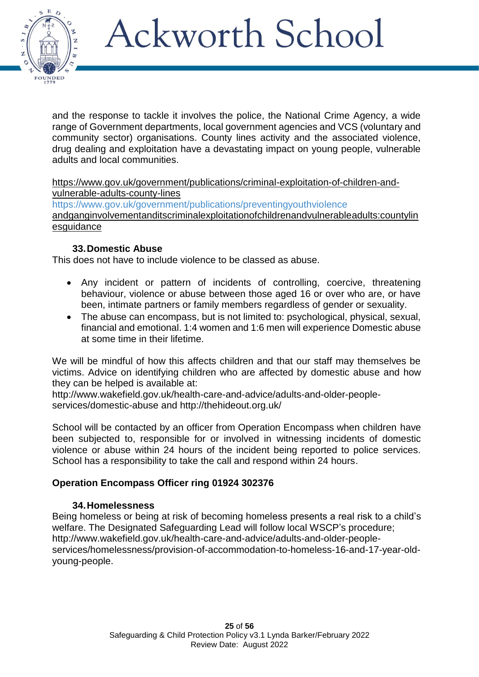

and the response to tackle it involves the police, the National Crime Agency, a wide range of Government departments, local government agencies and VCS (voluntary and community sector) organisations. County lines activity and the associated violence, drug dealing and exploitation have a devastating impact on young people, vulnerable adults and local communities.

[https://www.gov.uk/government/publications/criminal-exploitation-of-children-and](https://www.gov.uk/government/publications/criminal-exploitation-of-children-and-vulnerable-adults-county-lines)[vulnerable-adults-county-lines](https://www.gov.uk/government/publications/criminal-exploitation-of-children-and-vulnerable-adults-county-lines)

<https://www.gov.uk/government/publications/preventingyouthviolence> andganginvolvementanditscriminalexploitationofchildrenandvulnerableadults:countylin esquidance

### **33.Domestic Abuse**

This does not have to include violence to be classed as abuse.

- Any incident or pattern of incidents of controlling, coercive, threatening behaviour, violence or abuse between those aged 16 or over who are, or have been, intimate partners or family members regardless of gender or sexuality.
- The abuse can encompass, but is not limited to: psychological, physical, sexual, financial and emotional. 1:4 women and 1:6 men will experience Domestic abuse at some time in their lifetime.

We will be mindful of how this affects children and that our staff may themselves be victims. Advice on identifying children who are affected by domestic abuse and how they can be helped is available at:

[http://www.wakefield.gov.uk/health-care-and-advice/adults-and-older-people](http://www.wakefield.gov.uk/health-care-and-advice/adults-and-older-people-services/domestic-abuse)[services/domestic-abuse](http://www.wakefield.gov.uk/health-care-and-advice/adults-and-older-people-services/domestic-abuse) and<http://thehideout.org.uk/>

School will be contacted by an officer from Operation Encompass when children have been subjected to, responsible for or involved in witnessing incidents of domestic violence or abuse within 24 hours of the incident being reported to police services. School has a responsibility to take the call and respond within 24 hours.

### **Operation Encompass Officer ring 01924 302376**

### **34.Homelessness**

Being homeless or being at risk of becoming homeless presents a real risk to a child's welfare. The Designated Safeguarding Lead will follow local WSCP's procedure; [http://www.wakefield.gov.uk/health-care-and-advice/adults-and-older-people](http://www.wakefield.gov.uk/health-care-and-advice/adults-and-older-people-services/homelessness/provision-of-accommodation-to-homeless-16-and-17-year-old-young-people)[services/homelessness/provision-of-accommodation-to-homeless-16-and-17-year-old](http://www.wakefield.gov.uk/health-care-and-advice/adults-and-older-people-services/homelessness/provision-of-accommodation-to-homeless-16-and-17-year-old-young-people)[young-people.](http://www.wakefield.gov.uk/health-care-and-advice/adults-and-older-people-services/homelessness/provision-of-accommodation-to-homeless-16-and-17-year-old-young-people)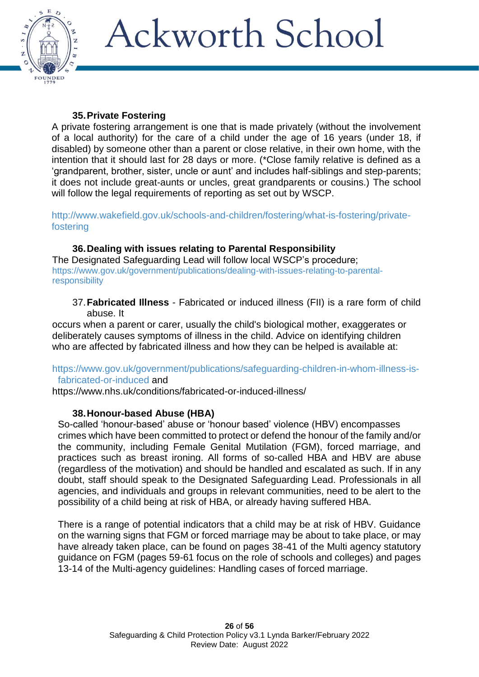

### **35.Private Fostering**

A private fostering arrangement is one that is made privately (without the involvement of a local authority) for the care of a child under the age of 16 years (under 18, if disabled) by someone other than a parent or close relative, in their own home, with the intention that it should last for 28 days or more. (\*Close family relative is defined as a 'grandparent, brother, sister, uncle or aunt' and includes half-siblings and step-parents; it does not include great-aunts or uncles, great grandparents or cousins.) The school will follow the legal requirements of reporting as set out by WSCP.

[http://www.wakefield.gov.uk/schools-and-children/fostering/what-is-fostering/private](http://www.wakefield.gov.uk/schools-and-children/fostering/what-is-fostering/private-fostering)[fostering](http://www.wakefield.gov.uk/schools-and-children/fostering/what-is-fostering/private-fostering)

#### **36.Dealing with issues relating to Parental Responsibility** The Designated Safeguarding Lead will follow local WSCP's procedure; [https://www.gov.uk/government/publications/dealing-with-issues-relating-to-parental](https://www.gov.uk/government/publications/dealing-with-issues-relating-to-parental-responsibility)[responsibility](https://www.gov.uk/government/publications/dealing-with-issues-relating-to-parental-responsibility)

37.**Fabricated Illness** - Fabricated or induced illness (FII) is a rare form of child abuse. It

occurs when a parent or carer, usually the child's biological mother, exaggerates or deliberately causes symptoms of illness in the child. Advice on identifying children who are affected by fabricated illness and how they can be helped is available at:

[https://www.gov.uk/government/publications/safeguarding-children-in-whom-illness-is](https://www.gov.uk/government/publications/safeguarding-children-in-whom-illness-is-fabricated-or-induced)[fabricated-or-induced](https://www.gov.uk/government/publications/safeguarding-children-in-whom-illness-is-fabricated-or-induced) and

<https://www.nhs.uk/conditions/fabricated-or-induced-illness/>

### **38.Honour-based Abuse (HBA)**

So-called 'honour-based' abuse or 'honour based' violence (HBV) encompasses crimes which have been committed to protect or defend the honour of the family and/or the community, including Female Genital Mutilation (FGM), forced marriage, and practices such as breast ironing. All forms of so-called HBA and HBV are abuse (regardless of the motivation) and should be handled and escalated as such. If in any doubt, staff should speak to the Designated Safeguarding Lead. Professionals in all agencies, and individuals and groups in relevant communities, need to be alert to the possibility of a child being at risk of HBA, or already having suffered HBA.

There is a range of potential indicators that a child may be at risk of HBV. Guidance on the warning signs that FGM or forced marriage may be about to take place, or may have already taken place, can be found on pages 38-41 of the Multi agency statutory guidance on FGM (pages 59-61 focus on the role of schools and colleges) and pages 13-14 of the Multi-agency guidelines: Handling cases of forced marriage.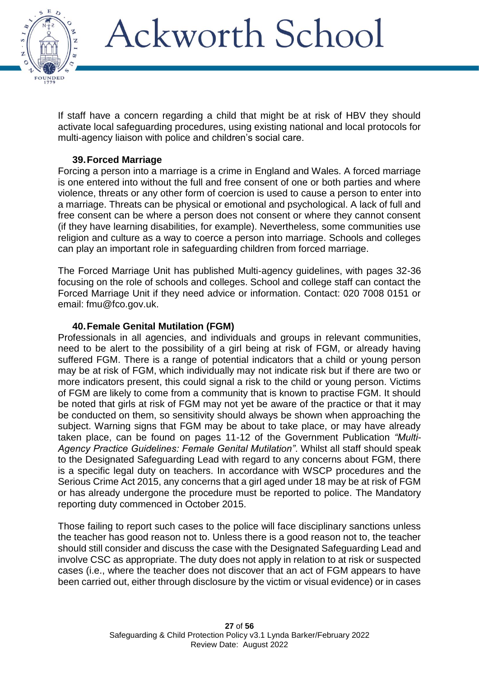

If staff have a concern regarding a child that might be at risk of HBV they should activate local safeguarding procedures, using existing national and local protocols for multi-agency liaison with police and children's social care.

### **39.Forced Marriage**

Forcing a person into a marriage is a crime in England and Wales. A forced marriage is one entered into without the full and free consent of one or both parties and where violence, threats or any other form of coercion is used to cause a person to enter into a marriage. Threats can be physical or emotional and psychological. A lack of full and free consent can be where a person does not consent or where they cannot consent (if they have learning disabilities, for example). Nevertheless, some communities use religion and culture as a way to coerce a person into marriage. Schools and colleges can play an important role in safeguarding children from forced marriage.

The Forced Marriage Unit has published Multi-agency guidelines, with pages 32-36 focusing on the role of schools and colleges. School and college staff can contact the Forced Marriage Unit if they need advice or information. Contact: 020 7008 0151 or email: fmu@fco.gov.uk.

#### **40.Female Genital Mutilation (FGM)**

Professionals in all agencies, and individuals and groups in relevant communities, need to be alert to the possibility of a girl being at risk of FGM, or already having suffered FGM. There is a range of potential indicators that a child or young person may be at risk of FGM, which individually may not indicate risk but if there are two or more indicators present, this could signal a risk to the child or young person. Victims of FGM are likely to come from a community that is known to practise FGM. It should be noted that girls at risk of FGM may not yet be aware of the practice or that it may be conducted on them, so sensitivity should always be shown when approaching the subject. Warning signs that FGM may be about to take place, or may have already taken place, can be found on pages 11-12 of the Government Publication *"Multi-Agency Practice Guidelines: Female Genital Mutilation"*. Whilst all staff should speak to the Designated Safeguarding Lead with regard to any concerns about FGM, there is a specific legal duty on teachers. In accordance with WSCP procedures and the Serious Crime Act 2015, any concerns that a girl aged under 18 may be at risk of FGM or has already undergone the procedure must be reported to police. The Mandatory reporting duty commenced in October 2015.

Those failing to report such cases to the police will face disciplinary sanctions unless the teacher has good reason not to. Unless there is a good reason not to, the teacher should still consider and discuss the case with the Designated Safeguarding Lead and involve CSC as appropriate. The duty does not apply in relation to at risk or suspected cases (i.e., where the teacher does not discover that an act of FGM appears to have been carried out, either through disclosure by the victim or visual evidence) or in cases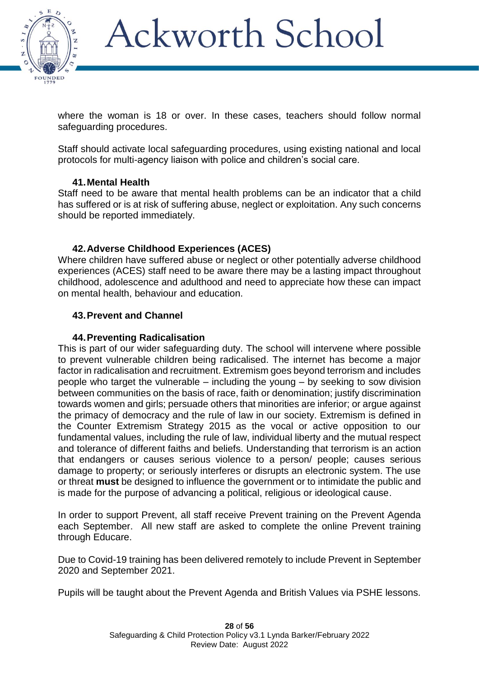

where the woman is 18 or over. In these cases, teachers should follow normal safeguarding procedures.

Staff should activate local safeguarding procedures, using existing national and local protocols for multi-agency liaison with police and children's social care.

#### **41.Mental Health**

Staff need to be aware that mental health problems can be an indicator that a child has suffered or is at risk of suffering abuse, neglect or exploitation. Any such concerns should be reported immediately.

### **42.Adverse Childhood Experiences (ACES)**

Where children have suffered abuse or neglect or other potentially adverse childhood experiences (ACES) staff need to be aware there may be a lasting impact throughout childhood, adolescence and adulthood and need to appreciate how these can impact on mental health, behaviour and education.

### **43.Prevent and Channel**

#### **44.Preventing Radicalisation**

This is part of our wider safeguarding duty. The school will intervene where possible to prevent vulnerable children being radicalised. The internet has become a major factor in radicalisation and recruitment. Extremism goes beyond terrorism and includes people who target the vulnerable – including the young – by seeking to sow division between communities on the basis of race, faith or denomination; justify discrimination towards women and girls; persuade others that minorities are inferior; or argue against the primacy of democracy and the rule of law in our society. Extremism is defined in the Counter Extremism Strategy 2015 as the vocal or active opposition to our fundamental values, including the rule of law, individual liberty and the mutual respect and tolerance of different faiths and beliefs. Understanding that terrorism is an action that endangers or causes serious violence to a person/ people; causes serious damage to property; or seriously interferes or disrupts an electronic system. The use or threat **must** be designed to influence the government or to intimidate the public and is made for the purpose of advancing a political, religious or ideological cause.

In order to support Prevent, all staff receive Prevent training on the Prevent Agenda each September. All new staff are asked to complete the online Prevent training through Educare.

Due to Covid-19 training has been delivered remotely to include Prevent in September 2020 and September 2021.

Pupils will be taught about the Prevent Agenda and British Values via PSHE lessons.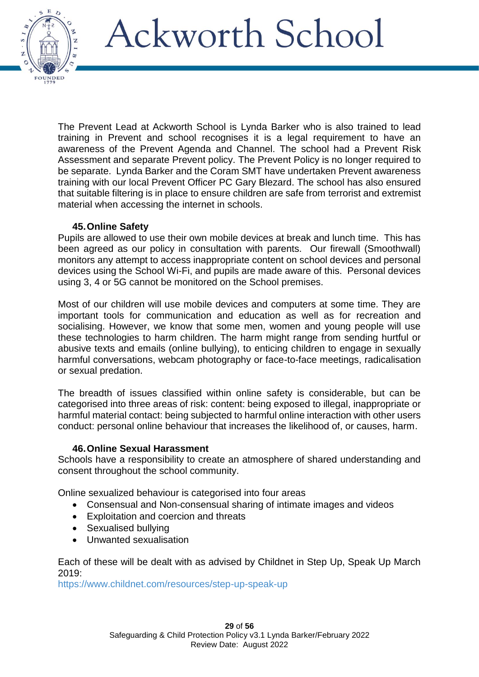

The Prevent Lead at Ackworth School is Lynda Barker who is also trained to lead training in Prevent and school recognises it is a legal requirement to have an awareness of the Prevent Agenda and Channel. The school had a Prevent Risk Assessment and separate Prevent policy. The Prevent Policy is no longer required to be separate. Lynda Barker and the Coram SMT have undertaken Prevent awareness training with our local Prevent Officer PC Gary Blezard. The school has also ensured that suitable filtering is in place to ensure children are safe from terrorist and extremist material when accessing the internet in schools.

#### **45.Online Safety**

Pupils are allowed to use their own mobile devices at break and lunch time. This has been agreed as our policy in consultation with parents. Our firewall (Smoothwall) monitors any attempt to access inappropriate content on school devices and personal devices using the School Wi-Fi, and pupils are made aware of this. Personal devices using 3, 4 or 5G cannot be monitored on the School premises.

Most of our children will use mobile devices and computers at some time. They are important tools for communication and education as well as for recreation and socialising. However, we know that some men, women and young people will use these technologies to harm children. The harm might range from sending hurtful or abusive texts and emails (online bullying), to enticing children to engage in sexually harmful conversations, webcam photography or face-to-face meetings, radicalisation or sexual predation.

The breadth of issues classified within online safety is considerable, but can be categorised into three areas of risk: content: being exposed to illegal, inappropriate or harmful material contact: being subjected to harmful online interaction with other users conduct: personal online behaviour that increases the likelihood of, or causes, harm.

#### **46.Online Sexual Harassment**

Schools have a responsibility to create an atmosphere of shared understanding and consent throughout the school community.

Online sexualized behaviour is categorised into four areas

- Consensual and Non-consensual sharing of intimate images and videos
- Exploitation and coercion and threats
- Sexualised bullying
- Unwanted sexualisation

Each of these will be dealt with as advised by Childnet in Step Up, Speak Up March 2019:

<https://www.childnet.com/resources/step-up-speak-up>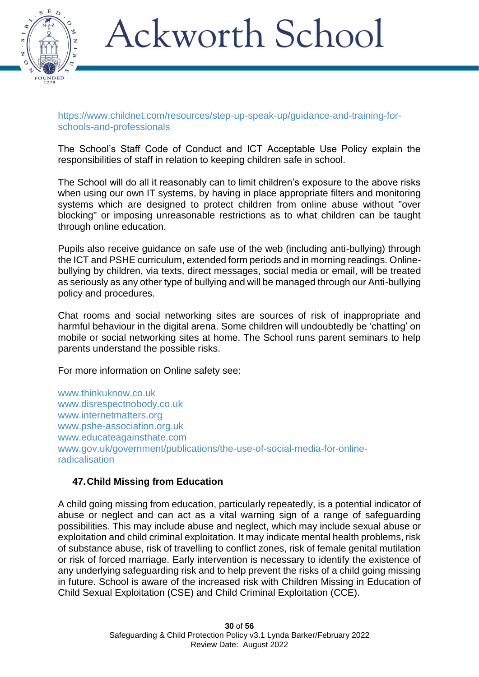

#### [https://www.childnet.com/resources/step-up-speak-up/guidance-and-training-for](https://www.childnet.com/resources/step-up-speak-up/guidance-and-training-for-schools-and-professionals)[schools-and-professionals](https://www.childnet.com/resources/step-up-speak-up/guidance-and-training-for-schools-and-professionals)

The School's Staff Code of Conduct and ICT Acceptable Use Policy explain the responsibilities of staff in relation to keeping children safe in school.

The School will do all it reasonably can to limit children's exposure to the above risks when using our own IT systems, by having in place appropriate filters and monitoring systems which are designed to protect children from online abuse without "over blocking" or imposing unreasonable restrictions as to what children can be taught through online education.

Pupils also receive guidance on safe use of the web (including anti-bullying) through the ICT and PSHE curriculum, extended form periods and in morning readings. Onlinebullying by children, via texts, direct messages, social media or email, will be treated as seriously as any other type of bullying and will be managed through our Anti-bullying policy and procedures.

Chat rooms and social networking sites are sources of risk of inappropriate and harmful behaviour in the digital arena. Some children will undoubtedly be 'chatting' on mobile or social networking sites at home. The School runs parent seminars to help parents understand the possible risks.

For more information on Online safety see:

www.thinkuknow.co.uk [www.disrespectnobody.co.uk](http://www.disrespectnobody.co.uk/)  [www.internetmatters.org](http://www.internetmatters.org/)  [www.pshe-association.org.uk](http://www.pshe-association.org.uk/)  [www.educateagainsthate.com](http://www.educateagainsthate.com/) [www.gov.uk/government/publications/the-use-of-social-media-for-online](http://www.gov.uk/government/publications/the-use-of-social-media-for-online-radicalisation)[radicalisation](http://www.gov.uk/government/publications/the-use-of-social-media-for-online-radicalisation)

### **47.Child Missing from Education**

A child going missing from education, particularly repeatedly, is a potential indicator of abuse or neglect and can act as a vital warning sign of a range of safeguarding possibilities. This may include abuse and neglect, which may include sexual abuse or exploitation and child criminal exploitation. It may indicate mental health problems, risk of substance abuse, risk of travelling to conflict zones, risk of female genital mutilation or risk of forced marriage. Early intervention is necessary to identify the existence of any underlying safeguarding risk and to help prevent the risks of a child going missing in future. School is aware of the increased risk with Children Missing in Education of Child Sexual Exploitation (CSE) and Child Criminal Exploitation (CCE).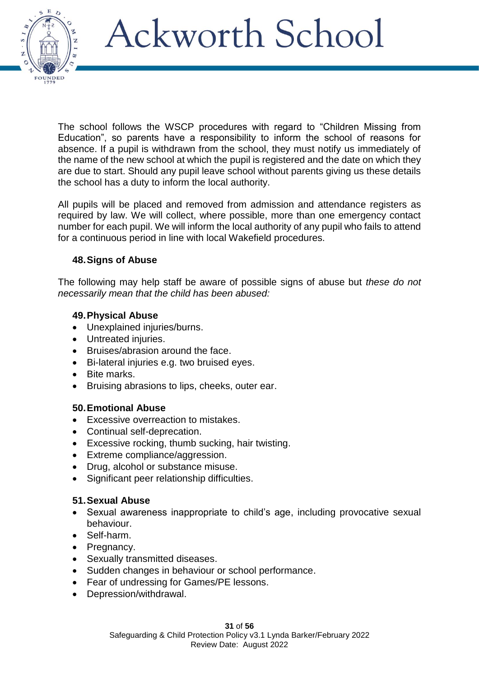

The school follows the WSCP procedures with regard to "Children Missing from Education", so parents have a responsibility to inform the school of reasons for absence. If a pupil is withdrawn from the school, they must notify us immediately of the name of the new school at which the pupil is registered and the date on which they are due to start. Should any pupil leave school without parents giving us these details the school has a duty to inform the local authority.

All pupils will be placed and removed from admission and attendance registers as required by law. We will collect, where possible, more than one emergency contact number for each pupil. We will inform the local authority of any pupil who fails to attend for a continuous period in line with local Wakefield procedures.

### **48.Signs of Abuse**

The following may help staff be aware of possible signs of abuse but *these do not necessarily mean that the child has been abused:* 

### **49.Physical Abuse**

- Unexplained injuries/burns.
- Untreated injuries.
- Bruises/abrasion around the face.
- Bi-lateral injuries e.g. two bruised eyes.
- Bite marks.
- Bruising abrasions to lips, cheeks, outer ear.

#### **50.Emotional Abuse**

- Excessive overreaction to mistakes.
- Continual self-deprecation.
- Excessive rocking, thumb sucking, hair twisting.
- Extreme compliance/aggression.
- Drug, alcohol or substance misuse.
- Significant peer relationship difficulties.

### **51.Sexual Abuse**

- Sexual awareness inappropriate to child's age, including provocative sexual behaviour.
- Self-harm.
- Pregnancy.
- Sexually transmitted diseases.
- Sudden changes in behaviour or school performance.
- Fear of undressing for Games/PE lessons.
- Depression/withdrawal.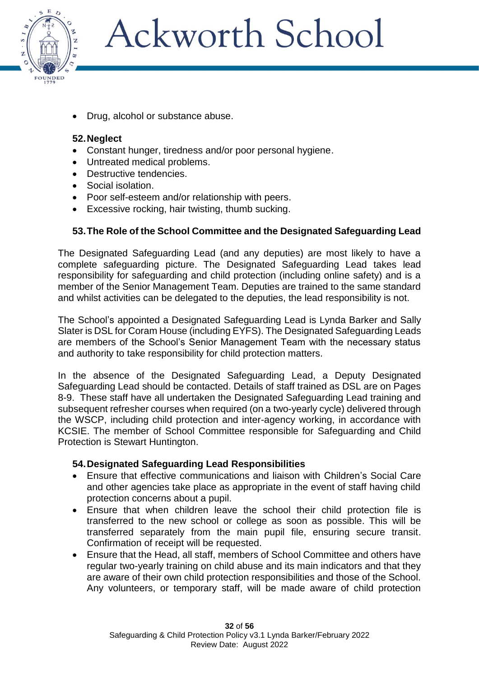

• Drug, alcohol or substance abuse.

#### **52.Neglect**

- Constant hunger, tiredness and/or poor personal hygiene.
- Untreated medical problems.
- Destructive tendencies.
- Social isolation.
- Poor self-esteem and/or relationship with peers.
- Excessive rocking, hair twisting, thumb sucking.

### **53.The Role of the School Committee and the Designated Safeguarding Lead**

The Designated Safeguarding Lead (and any deputies) are most likely to have a complete safeguarding picture. The Designated Safeguarding Lead takes lead responsibility for safeguarding and child protection (including online safety) and is a member of the Senior Management Team. Deputies are trained to the same standard and whilst activities can be delegated to the deputies, the lead responsibility is not.

The School's appointed a Designated Safeguarding Lead is Lynda Barker and Sally Slater is DSL for Coram House (including EYFS). The Designated Safeguarding Leads are members of the School's Senior Management Team with the necessary status and authority to take responsibility for child protection matters.

In the absence of the Designated Safeguarding Lead, a Deputy Designated Safeguarding Lead should be contacted. Details of staff trained as DSL are on Pages 8-9. These staff have all undertaken the Designated Safeguarding Lead training and subsequent refresher courses when required (on a two-yearly cycle) delivered through the WSCP, including child protection and inter-agency working, in accordance with KCSIE. The member of School Committee responsible for Safeguarding and Child Protection is Stewart Huntington.

#### **54.Designated Safeguarding Lead Responsibilities**

- Ensure that effective communications and liaison with Children's Social Care and other agencies take place as appropriate in the event of staff having child protection concerns about a pupil.
- Ensure that when children leave the school their child protection file is transferred to the new school or college as soon as possible. This will be transferred separately from the main pupil file, ensuring secure transit. Confirmation of receipt will be requested.
- Ensure that the Head, all staff, members of School Committee and others have regular two-yearly training on child abuse and its main indicators and that they are aware of their own child protection responsibilities and those of the School. Any volunteers, or temporary staff, will be made aware of child protection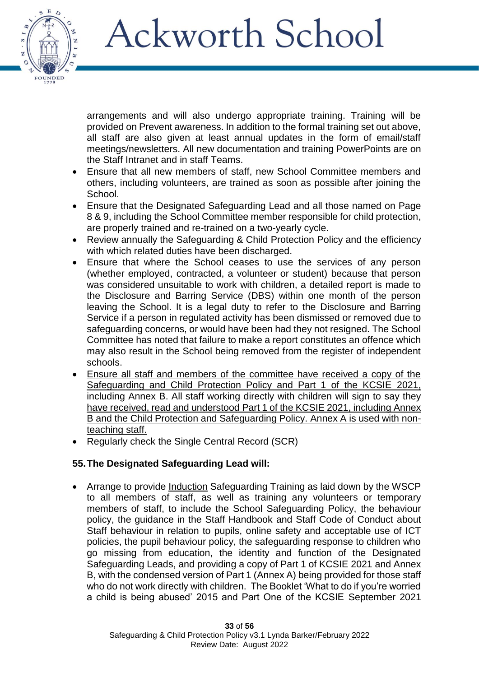

arrangements and will also undergo appropriate training. Training will be provided on Prevent awareness. In addition to the formal training set out above, all staff are also given at least annual updates in the form of email/staff meetings/newsletters. All new documentation and training PowerPoints are on the Staff Intranet and in staff Teams.

- Ensure that all new members of staff, new School Committee members and others, including volunteers, are trained as soon as possible after joining the School.
- Ensure that the Designated Safeguarding Lead and all those named on Page 8 & 9, including the School Committee member responsible for child protection, are properly trained and re-trained on a two-yearly cycle.
- Review annually the Safeguarding & Child Protection Policy and the efficiency with which related duties have been discharged.
- Ensure that where the School ceases to use the services of any person (whether employed, contracted, a volunteer or student) because that person was considered unsuitable to work with children, a detailed report is made to the Disclosure and Barring Service (DBS) within one month of the person leaving the School. It is a legal duty to refer to the Disclosure and Barring Service if a person in regulated activity has been dismissed or removed due to safeguarding concerns, or would have been had they not resigned. The School Committee has noted that failure to make a report constitutes an offence which may also result in the School being removed from the register of independent schools.
- Ensure all staff and members of the committee have received a copy of the Safeguarding and Child Protection Policy and Part 1 of the KCSIE 2021, including Annex B. All staff working directly with children will sign to say they have received, read and understood Part 1 of the KCSIE 2021, including Annex B and the Child Protection and Safeguarding Policy. Annex A is used with nonteaching staff.
- Regularly check the Single Central Record (SCR)

### **55.The Designated Safeguarding Lead will:**

• Arrange to provide Induction Safeguarding Training as laid down by the WSCP to all members of staff, as well as training any volunteers or temporary members of staff, to include the School Safeguarding Policy, the behaviour policy, the guidance in the Staff Handbook and Staff Code of Conduct about Staff behaviour in relation to pupils, online safety and acceptable use of ICT policies, the pupil behaviour policy, the safeguarding response to children who go missing from education, the identity and function of the Designated Safeguarding Leads, and providing a copy of Part 1 of KCSIE 2021 and Annex B, with the condensed version of Part 1 (Annex A) being provided for those staff who do not work directly with children. The Booklet 'What to do if you're worried a child is being abused' 2015 and Part One of the KCSIE September 2021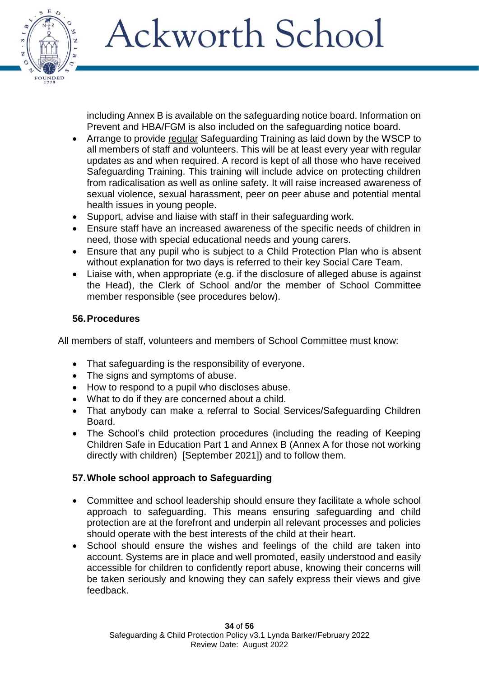

including Annex B is available on the safeguarding notice board. Information on Prevent and HBA/FGM is also included on the safeguarding notice board.

- Arrange to provide regular Safeguarding Training as laid down by the WSCP to all members of staff and volunteers. This will be at least every year with regular updates as and when required. A record is kept of all those who have received Safeguarding Training. This training will include advice on protecting children from radicalisation as well as online safety. It will raise increased awareness of sexual violence, sexual harassment, peer on peer abuse and potential mental health issues in young people.
- Support, advise and liaise with staff in their safeguarding work.
- Ensure staff have an increased awareness of the specific needs of children in need, those with special educational needs and young carers.
- Ensure that any pupil who is subject to a Child Protection Plan who is absent without explanation for two days is referred to their key Social Care Team.
- Liaise with, when appropriate (e.g. if the disclosure of alleged abuse is against the Head), the Clerk of School and/or the member of School Committee member responsible (see procedures below).

### **56.Procedures**

All members of staff, volunteers and members of School Committee must know:

- That safeguarding is the responsibility of everyone.
- The signs and symptoms of abuse.
- How to respond to a pupil who discloses abuse.
- What to do if they are concerned about a child.
- That anybody can make a referral to Social Services/Safeguarding Children Board.
- The School's child protection procedures (including the reading of Keeping Children Safe in Education Part 1 and Annex B (Annex A for those not working directly with children) [September 2021]) and to follow them.

### **57.Whole school approach to Safeguarding**

- Committee and school leadership should ensure they facilitate a whole school approach to safeguarding. This means ensuring safeguarding and child protection are at the forefront and underpin all relevant processes and policies should operate with the best interests of the child at their heart.
- School should ensure the wishes and feelings of the child are taken into account. Systems are in place and well promoted, easily understood and easily accessible for children to confidently report abuse, knowing their concerns will be taken seriously and knowing they can safely express their views and give feedback.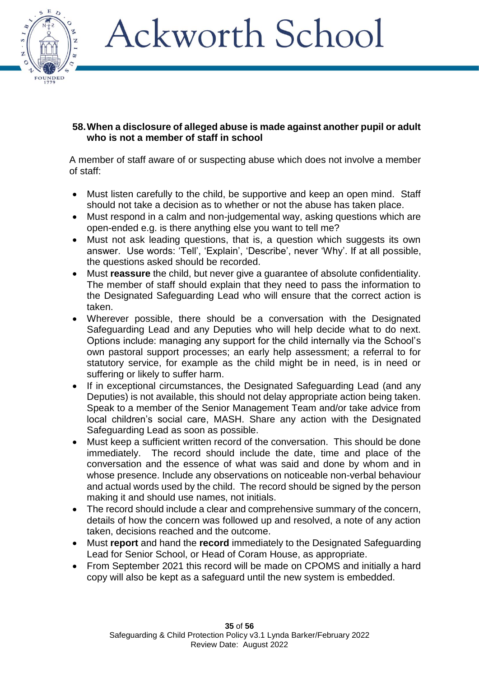

#### **58.When a disclosure of alleged abuse is made against another pupil or adult who is not a member of staff in school**

A member of staff aware of or suspecting abuse which does not involve a member of staff:

- Must listen carefully to the child, be supportive and keep an open mind. Staff should not take a decision as to whether or not the abuse has taken place.
- Must respond in a calm and non-judgemental way, asking questions which are open-ended e.g. is there anything else you want to tell me?
- Must not ask leading questions, that is, a question which suggests its own answer. Use words: 'Tell', 'Explain', 'Describe', never 'Why'. If at all possible, the questions asked should be recorded.
- Must **reassure** the child, but never give a guarantee of absolute confidentiality. The member of staff should explain that they need to pass the information to the Designated Safeguarding Lead who will ensure that the correct action is taken.
- Wherever possible, there should be a conversation with the Designated Safeguarding Lead and any Deputies who will help decide what to do next. Options include: managing any support for the child internally via the School's own pastoral support processes; an early help assessment; a referral to for statutory service, for example as the child might be in need, is in need or suffering or likely to suffer harm.
- If in exceptional circumstances, the Designated Safeguarding Lead (and any Deputies) is not available, this should not delay appropriate action being taken. Speak to a member of the Senior Management Team and/or take advice from local children's social care, MASH. Share any action with the Designated Safeguarding Lead as soon as possible.
- Must keep a sufficient written record of the conversation. This should be done immediately. The record should include the date, time and place of the conversation and the essence of what was said and done by whom and in whose presence. Include any observations on noticeable non-verbal behaviour and actual words used by the child. The record should be signed by the person making it and should use names, not initials.
- The record should include a clear and comprehensive summary of the concern, details of how the concern was followed up and resolved, a note of any action taken, decisions reached and the outcome.
- Must **report** and hand the **record** immediately to the Designated Safeguarding Lead for Senior School, or Head of Coram House, as appropriate.
- From September 2021 this record will be made on CPOMS and initially a hard copy will also be kept as a safeguard until the new system is embedded.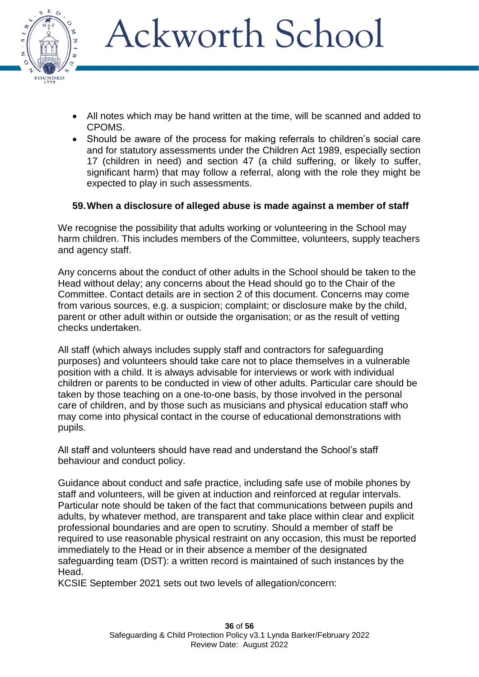

- All notes which may be hand written at the time, will be scanned and added to CPOMS.
- Should be aware of the process for making referrals to children's social care and for statutory assessments under the Children Act 1989, especially section 17 (children in need) and section 47 (a child suffering, or likely to suffer, significant harm) that may follow a referral, along with the role they might be expected to play in such assessments.

### **59.When a disclosure of alleged abuse is made against a member of staff**

We recognise the possibility that adults working or volunteering in the School may harm children. This includes members of the Committee, volunteers, supply teachers and agency staff.

Any concerns about the conduct of other adults in the School should be taken to the Head without delay; any concerns about the Head should go to the Chair of the Committee. Contact details are in section 2 of this document. Concerns may come from various sources, e.g. a suspicion; complaint; or disclosure make by the child, parent or other adult within or outside the organisation; or as the result of vetting checks undertaken.

All staff (which always includes supply staff and contractors for safeguarding purposes) and volunteers should take care not to place themselves in a vulnerable position with a child. It is always advisable for interviews or work with individual children or parents to be conducted in view of other adults. Particular care should be taken by those teaching on a one-to-one basis, by those involved in the personal care of children, and by those such as musicians and physical education staff who may come into physical contact in the course of educational demonstrations with pupils.

All staff and volunteers should have read and understand the School's staff behaviour and conduct policy.

Guidance about conduct and safe practice, including safe use of mobile phones by staff and volunteers, will be given at induction and reinforced at regular intervals. Particular note should be taken of the fact that communications between pupils and adults, by whatever method, are transparent and take place within clear and explicit professional boundaries and are open to scrutiny. Should a member of staff be required to use reasonable physical restraint on any occasion, this must be reported immediately to the Head or in their absence a member of the designated safeguarding team (DST): a written record is maintained of such instances by the Head.

KCSIE September 2021 sets out two levels of allegation/concern: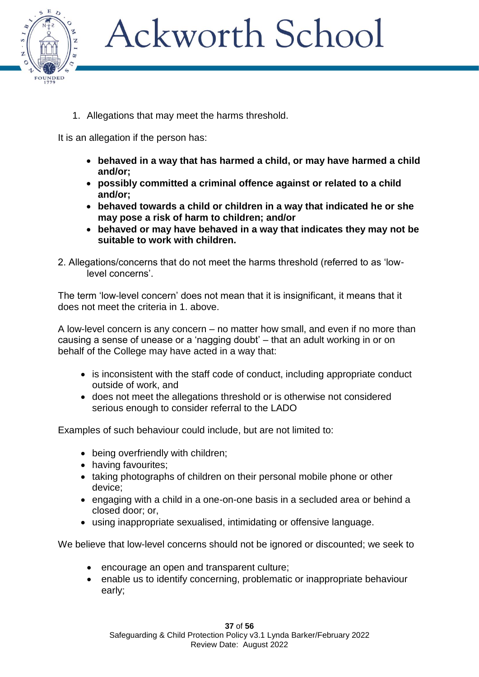

1. Allegations that may meet the harms threshold.

It is an allegation if the person has:

- **behaved in a way that has harmed a child, or may have harmed a child and/or;**
- **possibly committed a criminal offence against or related to a child and/or;**
- **behaved towards a child or children in a way that indicated he or she may pose a risk of harm to children; and/or**
- **behaved or may have behaved in a way that indicates they may not be suitable to work with children.**
- 2. Allegations/concerns that do not meet the harms threshold (referred to as 'lowlevel concerns'.

The term 'low-level concern' does not mean that it is insignificant, it means that it does not meet the criteria in 1. above.

A low-level concern is any concern – no matter how small, and even if no more than causing a sense of unease or a 'nagging doubt' – that an adult working in or on behalf of the College may have acted in a way that:

- is inconsistent with the staff code of conduct, including appropriate conduct outside of work, and
- does not meet the allegations threshold or is otherwise not considered serious enough to consider referral to the LADO

Examples of such behaviour could include, but are not limited to:

- being overfriendly with children;
- having favourites;
- taking photographs of children on their personal mobile phone or other device;
- engaging with a child in a one-on-one basis in a secluded area or behind a closed door; or,
- using inappropriate sexualised, intimidating or offensive language.

We believe that low-level concerns should not be ignored or discounted; we seek to

- encourage an open and transparent culture;
- enable us to identify concerning, problematic or inappropriate behaviour early;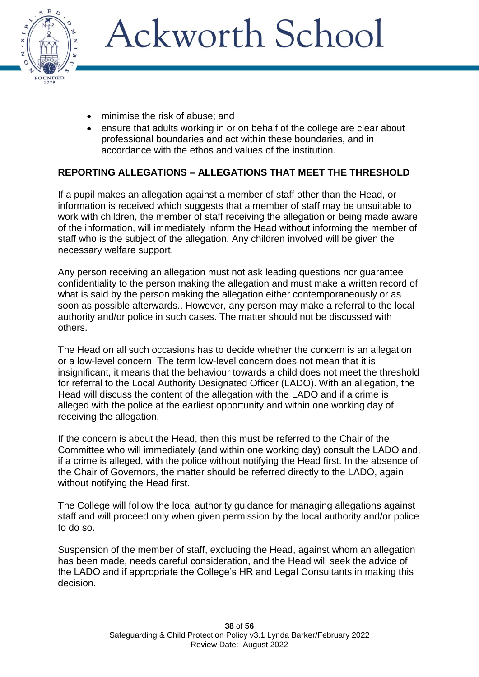

- minimise the risk of abuse; and
- ensure that adults working in or on behalf of the college are clear about professional boundaries and act within these boundaries, and in accordance with the ethos and values of the institution.

### **REPORTING ALLEGATIONS – ALLEGATIONS THAT MEET THE THRESHOLD**

If a pupil makes an allegation against a member of staff other than the Head, or information is received which suggests that a member of staff may be unsuitable to work with children, the member of staff receiving the allegation or being made aware of the information, will immediately inform the Head without informing the member of staff who is the subject of the allegation. Any children involved will be given the necessary welfare support.

Any person receiving an allegation must not ask leading questions nor guarantee confidentiality to the person making the allegation and must make a written record of what is said by the person making the allegation either contemporaneously or as soon as possible afterwards.. However, any person may make a referral to the local authority and/or police in such cases. The matter should not be discussed with others.

The Head on all such occasions has to decide whether the concern is an allegation or a low-level concern. The term low-level concern does not mean that it is insignificant, it means that the behaviour towards a child does not meet the threshold for referral to the Local Authority Designated Officer (LADO). With an allegation, the Head will discuss the content of the allegation with the LADO and if a crime is alleged with the police at the earliest opportunity and within one working day of receiving the allegation.

If the concern is about the Head, then this must be referred to the Chair of the Committee who will immediately (and within one working day) consult the LADO and, if a crime is alleged, with the police without notifying the Head first. In the absence of the Chair of Governors, the matter should be referred directly to the LADO, again without notifying the Head first.

The College will follow the local authority guidance for managing allegations against staff and will proceed only when given permission by the local authority and/or police to do so.

Suspension of the member of staff, excluding the Head, against whom an allegation has been made, needs careful consideration, and the Head will seek the advice of the LADO and if appropriate the College's HR and Legal Consultants in making this decision.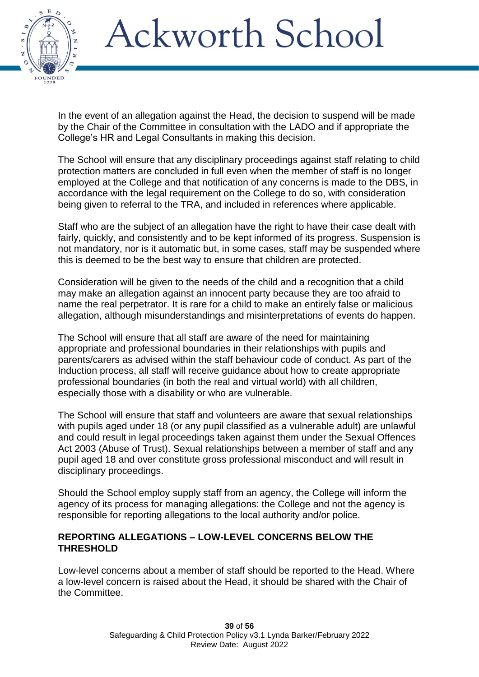

In the event of an allegation against the Head, the decision to suspend will be made by the Chair of the Committee in consultation with the LADO and if appropriate the College's HR and Legal Consultants in making this decision.

The School will ensure that any disciplinary proceedings against staff relating to child protection matters are concluded in full even when the member of staff is no longer employed at the College and that notification of any concerns is made to the DBS, in accordance with the legal requirement on the College to do so, with consideration being given to referral to the TRA, and included in references where applicable.

Staff who are the subiect of an allegation have the right to have their case dealt with fairly, quickly, and consistently and to be kept informed of its progress. Suspension is not mandatory, nor is it automatic but, in some cases, staff may be suspended where this is deemed to be the best way to ensure that children are protected.

Consideration will be given to the needs of the child and a recognition that a child may make an allegation against an innocent party because they are too afraid to name the real perpetrator. It is rare for a child to make an entirely false or malicious allegation, although misunderstandings and misinterpretations of events do happen.

The School will ensure that all staff are aware of the need for maintaining appropriate and professional boundaries in their relationships with pupils and parents/carers as advised within the staff behaviour code of conduct. As part of the Induction process, all staff will receive guidance about how to create appropriate professional boundaries (in both the real and virtual world) with all children, especially those with a disability or who are vulnerable.

The School will ensure that staff and volunteers are aware that sexual relationships with pupils aged under 18 (or any pupil classified as a vulnerable adult) are unlawful and could result in legal proceedings taken against them under the Sexual Offences Act 2003 (Abuse of Trust). Sexual relationships between a member of staff and any pupil aged 18 and over constitute gross professional misconduct and will result in disciplinary proceedings.

Should the School employ supply staff from an agency, the College will inform the agency of its process for managing allegations: the College and not the agency is responsible for reporting allegations to the local authority and/or police.

#### **REPORTING ALLEGATIONS – LOW-LEVEL CONCERNS BELOW THE THRESHOLD**

Low-level concerns about a member of staff should be reported to the Head. Where a low-level concern is raised about the Head, it should be shared with the Chair of the Committee.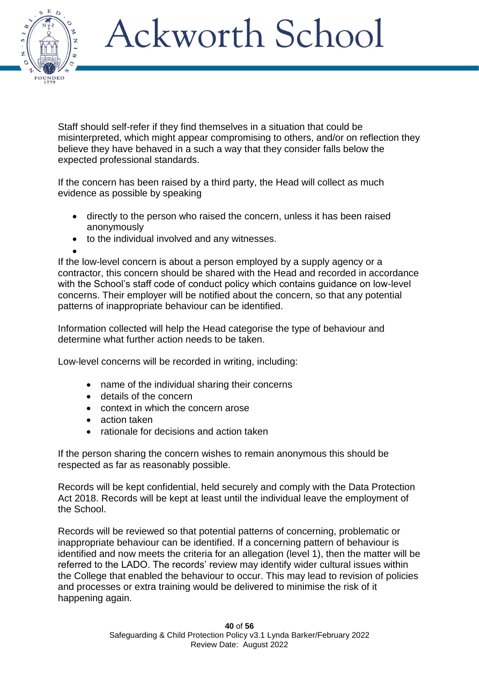

Staff should self-refer if they find themselves in a situation that could be misinterpreted, which might appear compromising to others, and/or on reflection they believe they have behaved in a such a way that they consider falls below the expected professional standards.

If the concern has been raised by a third party, the Head will collect as much evidence as possible by speaking

- directly to the person who raised the concern, unless it has been raised anonymously
- to the individual involved and any witnesses.
- •

If the low-level concern is about a person employed by a supply agency or a contractor, this concern should be shared with the Head and recorded in accordance with the School's staff code of conduct policy which contains guidance on low-level concerns. Their employer will be notified about the concern, so that any potential patterns of inappropriate behaviour can be identified.

Information collected will help the Head categorise the type of behaviour and determine what further action needs to be taken.

Low-level concerns will be recorded in writing, including:

- name of the individual sharing their concerns
- details of the concern
- context in which the concern arose
- action taken
- rationale for decisions and action taken

If the person sharing the concern wishes to remain anonymous this should be respected as far as reasonably possible.

Records will be kept confidential, held securely and comply with the Data Protection Act 2018. Records will be kept at least until the individual leave the employment of the School.

Records will be reviewed so that potential patterns of concerning, problematic or inappropriate behaviour can be identified. If a concerning pattern of behaviour is identified and now meets the criteria for an allegation (level 1), then the matter will be referred to the LADO. The records' review may identify wider cultural issues within the College that enabled the behaviour to occur. This may lead to revision of policies and processes or extra training would be delivered to minimise the risk of it happening again.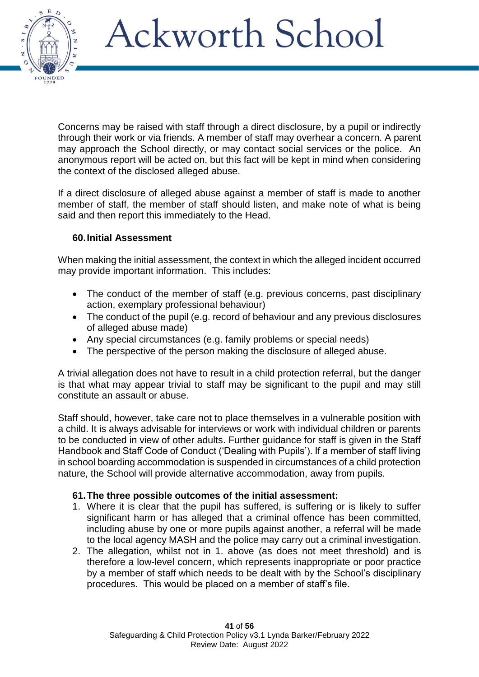

Concerns may be raised with staff through a direct disclosure, by a pupil or indirectly through their work or via friends. A member of staff may overhear a concern. A parent may approach the School directly, or may contact social services or the police. An anonymous report will be acted on, but this fact will be kept in mind when considering the context of the disclosed alleged abuse.

If a direct disclosure of alleged abuse against a member of staff is made to another member of staff, the member of staff should listen, and make note of what is being said and then report this immediately to the Head.

### **60.Initial Assessment**

When making the initial assessment, the context in which the alleged incident occurred may provide important information. This includes:

- The conduct of the member of staff (e.g. previous concerns, past disciplinary action, exemplary professional behaviour)
- The conduct of the pupil (e.g. record of behaviour and any previous disclosures of alleged abuse made)
- Any special circumstances (e.g. family problems or special needs)
- The perspective of the person making the disclosure of alleged abuse.

A trivial allegation does not have to result in a child protection referral, but the danger is that what may appear trivial to staff may be significant to the pupil and may still constitute an assault or abuse.

Staff should, however, take care not to place themselves in a vulnerable position with a child. It is always advisable for interviews or work with individual children or parents to be conducted in view of other adults. Further guidance for staff is given in the Staff Handbook and Staff Code of Conduct ('Dealing with Pupils'). If a member of staff living in school boarding accommodation is suspended in circumstances of a child protection nature, the School will provide alternative accommodation, away from pupils.

#### **61.The three possible outcomes of the initial assessment:**

- 1. Where it is clear that the pupil has suffered, is suffering or is likely to suffer significant harm or has alleged that a criminal offence has been committed, including abuse by one or more pupils against another, a referral will be made to the local agency MASH and the police may carry out a criminal investigation.
- 2. The allegation, whilst not in 1. above (as does not meet threshold) and is therefore a low-level concern, which represents inappropriate or poor practice by a member of staff which needs to be dealt with by the School's disciplinary procedures. This would be placed on a member of staff's file.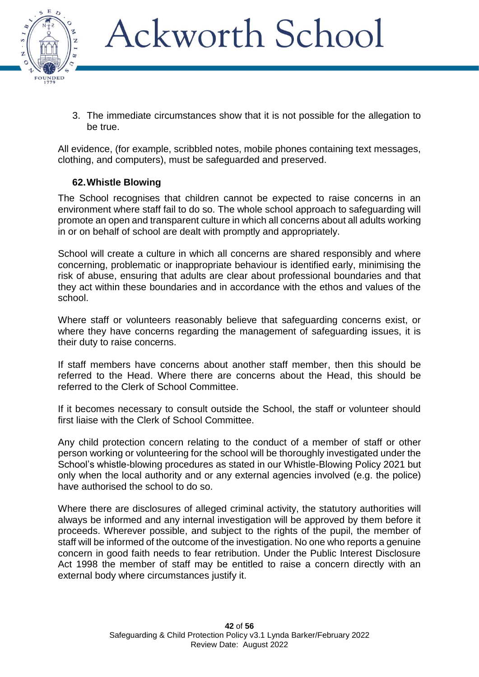

3. The immediate circumstances show that it is not possible for the allegation to be true.

All evidence, (for example, scribbled notes, mobile phones containing text messages, clothing, and computers), must be safeguarded and preserved.

### **62.Whistle Blowing**

The School recognises that children cannot be expected to raise concerns in an environment where staff fail to do so. The whole school approach to safeguarding will promote an open and transparent culture in which all concerns about all adults working in or on behalf of school are dealt with promptly and appropriately.

School will create a culture in which all concerns are shared responsibly and where concerning, problematic or inappropriate behaviour is identified early, minimising the risk of abuse, ensuring that adults are clear about professional boundaries and that they act within these boundaries and in accordance with the ethos and values of the school.

Where staff or volunteers reasonably believe that safeguarding concerns exist, or where they have concerns regarding the management of safeguarding issues, it is their duty to raise concerns.

If staff members have concerns about another staff member, then this should be referred to the Head. Where there are concerns about the Head, this should be referred to the Clerk of School Committee.

If it becomes necessary to consult outside the School, the staff or volunteer should first liaise with the Clerk of School Committee.

Any child protection concern relating to the conduct of a member of staff or other person working or volunteering for the school will be thoroughly investigated under the School's whistle-blowing procedures as stated in our Whistle-Blowing Policy 2021 but only when the local authority and or any external agencies involved (e.g. the police) have authorised the school to do so.

Where there are disclosures of alleged criminal activity, the statutory authorities will always be informed and any internal investigation will be approved by them before it proceeds. Wherever possible, and subject to the rights of the pupil, the member of staff will be informed of the outcome of the investigation. No one who reports a genuine concern in good faith needs to fear retribution. Under the Public Interest Disclosure Act 1998 the member of staff may be entitled to raise a concern directly with an external body where circumstances justify it.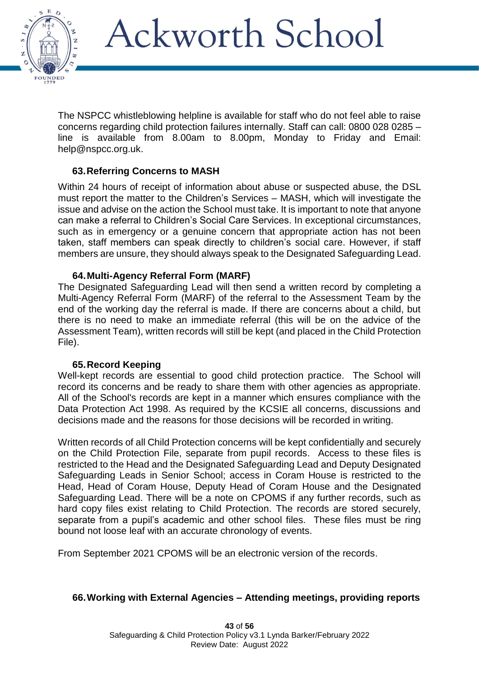

The NSPCC whistleblowing helpline is available for staff who do not feel able to raise concerns regarding child protection failures internally. Staff can call: 0800 028 0285 – line is available from 8.00am to 8.00pm, Monday to Friday and Email: [help@nspcc.org.uk.](file:///C:/Users/Secretary/AppData/Local/Microsoft/Windows/INetCache/Content.Outlook/RJ2RN1MN/help@nspcc.org.uk)

#### **63.Referring Concerns to MASH**

Within 24 hours of receipt of information about abuse or suspected abuse, the DSL must report the matter to the Children's Services – MASH, which will investigate the issue and advise on the action the School must take. It is important to note that anyone can make a referral to Children's Social Care Services. In exceptional circumstances, such as in emergency or a genuine concern that appropriate action has not been taken, staff members can speak directly to children's social care. However, if staff members are unsure, they should always speak to the Designated Safeguarding Lead.

#### **64.Multi-Agency Referral Form (MARF)**

The Designated Safeguarding Lead will then send a written record by completing a Multi-Agency Referral Form (MARF) of the referral to the Assessment Team by the end of the working day the referral is made. If there are concerns about a child, but there is no need to make an immediate referral (this will be on the advice of the Assessment Team), written records will still be kept (and placed in the Child Protection File).

#### **65.Record Keeping**

Well-kept records are essential to good child protection practice. The School will record its concerns and be ready to share them with other agencies as appropriate. All of the School's records are kept in a manner which ensures compliance with the Data Protection Act 1998. As required by the KCSIE all concerns, discussions and decisions made and the reasons for those decisions will be recorded in writing.

Written records of all Child Protection concerns will be kept confidentially and securely on the Child Protection File, separate from pupil records. Access to these files is restricted to the Head and the Designated Safeguarding Lead and Deputy Designated Safeguarding Leads in Senior School; access in Coram House is restricted to the Head, Head of Coram House, Deputy Head of Coram House and the Designated Safeguarding Lead. There will be a note on CPOMS if any further records, such as hard copy files exist relating to Child Protection. The records are stored securely, separate from a pupil's academic and other school files. These files must be ring bound not loose leaf with an accurate chronology of events.

From September 2021 CPOMS will be an electronic version of the records.

#### **66.Working with External Agencies – Attending meetings, providing reports**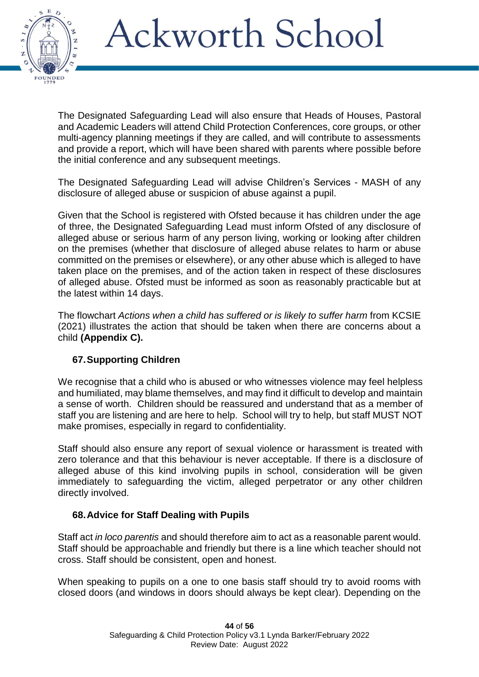

The Designated Safeguarding Lead will also ensure that Heads of Houses, Pastoral and Academic Leaders will attend Child Protection Conferences, core groups, or other multi-agency planning meetings if they are called, and will contribute to assessments and provide a report, which will have been shared with parents where possible before the initial conference and any subsequent meetings.

The Designated Safeguarding Lead will advise Children's Services - MASH of any disclosure of alleged abuse or suspicion of abuse against a pupil.

Given that the School is registered with Ofsted because it has children under the age of three, the Designated Safeguarding Lead must inform Ofsted of any disclosure of alleged abuse or serious harm of any person living, working or looking after children on the premises (whether that disclosure of alleged abuse relates to harm or abuse committed on the premises or elsewhere), or any other abuse which is alleged to have taken place on the premises, and of the action taken in respect of these disclosures of alleged abuse. Ofsted must be informed as soon as reasonably practicable but at the latest within 14 days.

The flowchart *Actions when a child has suffered or is likely to suffer harm* from KCSIE (2021) illustrates the action that should be taken when there are concerns about a child **(Appendix C).**

#### **67.Supporting Children**

We recognise that a child who is abused or who witnesses violence may feel helpless and humiliated, may blame themselves, and may find it difficult to develop and maintain a sense of worth. Children should be reassured and understand that as a member of staff you are listening and are here to help. School will try to help, but staff MUST NOT make promises, especially in regard to confidentiality.

Staff should also ensure any report of sexual violence or harassment is treated with zero tolerance and that this behaviour is never acceptable. If there is a disclosure of alleged abuse of this kind involving pupils in school, consideration will be given immediately to safeguarding the victim, alleged perpetrator or any other children directly involved.

#### **68.Advice for Staff Dealing with Pupils**

Staff act *in loco parentis* and should therefore aim to act as a reasonable parent would. Staff should be approachable and friendly but there is a line which teacher should not cross. Staff should be consistent, open and honest.

When speaking to pupils on a one to one basis staff should try to avoid rooms with closed doors (and windows in doors should always be kept clear). Depending on the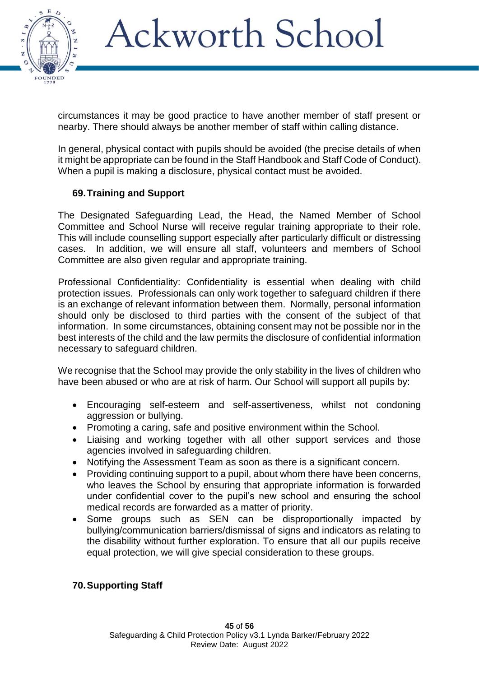

circumstances it may be good practice to have another member of staff present or nearby. There should always be another member of staff within calling distance.

In general, physical contact with pupils should be avoided (the precise details of when it might be appropriate can be found in the Staff Handbook and Staff Code of Conduct). When a pupil is making a disclosure, physical contact must be avoided.

### **69.Training and Support**

The Designated Safeguarding Lead, the Head, the Named Member of School Committee and School Nurse will receive regular training appropriate to their role. This will include counselling support especially after particularly difficult or distressing cases. In addition, we will ensure all staff, volunteers and members of School Committee are also given regular and appropriate training.

Professional Confidentiality: Confidentiality is essential when dealing with child protection issues. Professionals can only work together to safeguard children if there is an exchange of relevant information between them. Normally, personal information should only be disclosed to third parties with the consent of the subject of that information. In some circumstances, obtaining consent may not be possible nor in the best interests of the child and the law permits the disclosure of confidential information necessary to safeguard children.

We recognise that the School may provide the only stability in the lives of children who have been abused or who are at risk of harm. Our School will support all pupils by:

- Encouraging self-esteem and self-assertiveness, whilst not condoning aggression or bullying.
- Promoting a caring, safe and positive environment within the School.
- Liaising and working together with all other support services and those agencies involved in safeguarding children.
- Notifying the Assessment Team as soon as there is a significant concern.
- Providing continuing support to a pupil, about whom there have been concerns, who leaves the School by ensuring that appropriate information is forwarded under confidential cover to the pupil's new school and ensuring the school medical records are forwarded as a matter of priority.
- Some groups such as SEN can be disproportionally impacted by bullying/communication barriers/dismissal of signs and indicators as relating to the disability without further exploration. To ensure that all our pupils receive equal protection, we will give special consideration to these groups.

#### **70.Supporting Staff**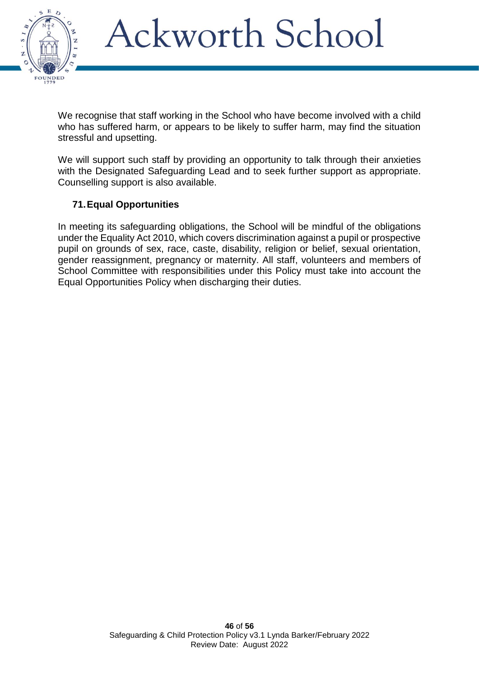

We recognise that staff working in the School who have become involved with a child who has suffered harm, or appears to be likely to suffer harm, may find the situation stressful and upsetting.

We will support such staff by providing an opportunity to talk through their anxieties with the Designated Safeguarding Lead and to seek further support as appropriate. Counselling support is also available.

### **71.Equal Opportunities**

In meeting its safeguarding obligations, the School will be mindful of the obligations under the Equality Act 2010, which covers discrimination against a pupil or prospective pupil on grounds of sex, race, caste, disability, religion or belief, sexual orientation, gender reassignment, pregnancy or maternity. All staff, volunteers and members of School Committee with responsibilities under this Policy must take into account the Equal Opportunities Policy when discharging their duties.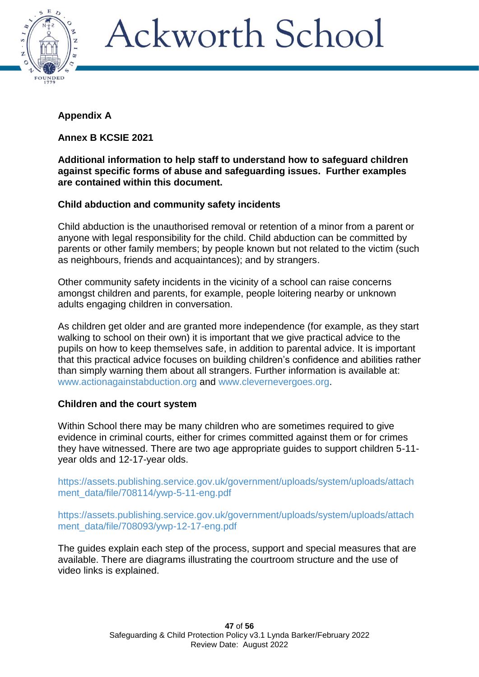

### **Appendix A**

**Annex B KCSIE 2021**

#### **Additional information to help staff to understand how to safeguard children against specific forms of abuse and safeguarding issues. Further examples are contained within this document.**

### **Child abduction and community safety incidents**

Child abduction is the unauthorised removal or retention of a minor from a parent or anyone with legal responsibility for the child. Child abduction can be committed by parents or other family members; by people known but not related to the victim (such as neighbours, friends and acquaintances); and by strangers.

Other community safety incidents in the vicinity of a school can raise concerns amongst children and parents, for example, people loitering nearby or unknown adults engaging children in conversation.

As children get older and are granted more independence (for example, as they start walking to school on their own) it is important that we give practical advice to the pupils on how to keep themselves safe, in addition to parental advice. It is important that this practical advice focuses on building children's confidence and abilities rather than simply warning them about all strangers. Further information is available at: [www.actionagainstabduction.org](http://www.actionagainstabduction.org/) and [www.clevernevergoes.org.](http://www.clevernevergoes.org/)

### **Children and the court system**

Within School there may be many children who are sometimes required to give evidence in criminal courts, either for crimes committed against them or for crimes they have witnessed. There are two age appropriate guides to support children 5-11 year olds and 12-17-year olds.

[https://assets.publishing.service.gov.uk/government/uploads/system/uploads/attach](https://assets.publishing.service.gov.uk/government/uploads/system/uploads/attachment_data/file/708114/ywp-5-11-eng.pdf) [ment\\_data/file/708114/ywp-5-11-eng.pdf](https://assets.publishing.service.gov.uk/government/uploads/system/uploads/attachment_data/file/708114/ywp-5-11-eng.pdf)

[https://assets.publishing.service.gov.uk/government/uploads/system/uploads/attach](https://assets.publishing.service.gov.uk/government/uploads/system/uploads/attachment_data/file/708093/ywp-12-17-eng.pdf) [ment\\_data/file/708093/ywp-12-17-eng.pdf](https://assets.publishing.service.gov.uk/government/uploads/system/uploads/attachment_data/file/708093/ywp-12-17-eng.pdf)

The guides explain each step of the process, support and special measures that are available. There are diagrams illustrating the courtroom structure and the use of video links is explained.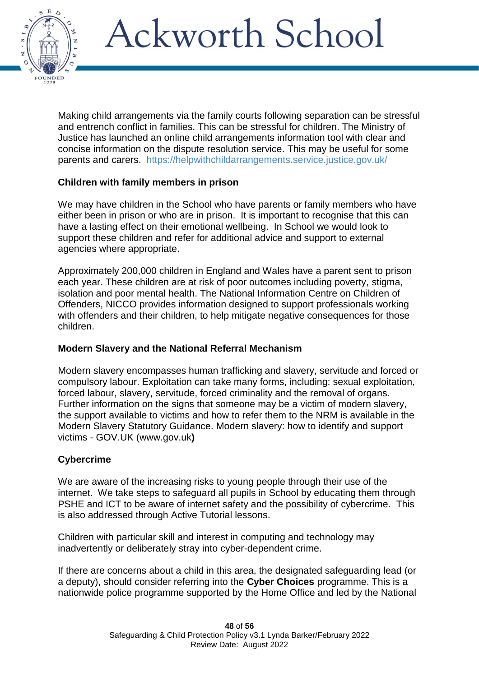

Making child arrangements via the family courts following separation can be stressful and entrench conflict in families. This can be stressful for children. The Ministry of Justice has launched an online child arrangements information tool with clear and concise information on the dispute resolution service. This may be useful for some parents and carers. <https://helpwithchildarrangements.service.justice.gov.uk/>

### **Children with family members in prison**

We may have children in the School who have parents or family members who have either been in prison or who are in prison. It is important to recognise that this can have a lasting effect on their emotional wellbeing. In School we would look to support these children and refer for additional advice and support to external agencies where appropriate.

Approximately 200,000 children in England and Wales have a parent sent to prison each year. These children are at risk of poor outcomes including poverty, stigma, isolation and poor mental health. The National Information Centre on Children of Offenders, NICCO provides information designed to support professionals working with offenders and their children, to help mitigate negative consequences for those children.

#### **Modern Slavery and the National Referral Mechanism**

Modern slavery encompasses human trafficking and slavery, servitude and forced or compulsory labour. Exploitation can take many forms, including: sexual exploitation, forced labour, slavery, servitude, forced criminality and the removal of organs. Further information on the signs that someone may be a victim of modern slavery, the support available to victims and how to refer them to the NRM is available in the Modern Slavery Statutory Guidance. Modern slavery: how to identify and support victims - GOV.UK [\(www.gov.uk](http://www.gov.uk/)**)**

#### **Cybercrime**

We are aware of the increasing risks to young people through their use of the internet. We take steps to safeguard all pupils in School by educating them through PSHE and ICT to be aware of internet safety and the possibility of cybercrime. This is also addressed through Active Tutorial lessons.

Children with particular skill and interest in computing and technology may inadvertently or deliberately stray into cyber-dependent crime.

If there are concerns about a child in this area, the designated safeguarding lead (or a deputy), should consider referring into the **Cyber Choices** programme. This is a nationwide police programme supported by the Home Office and led by the National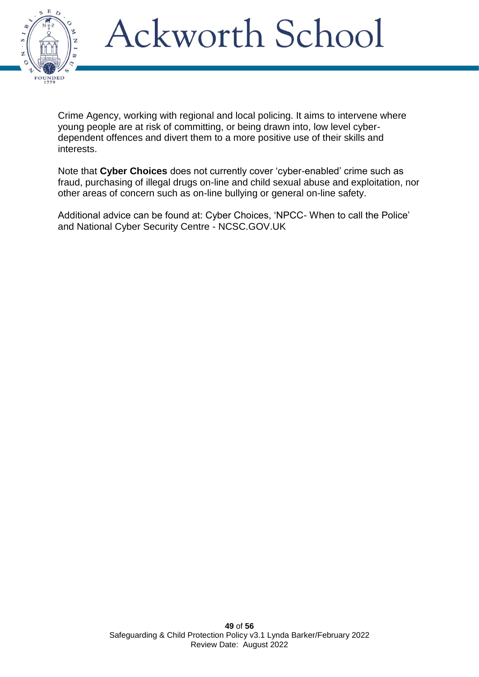

Crime Agency, working with regional and local policing. It aims to intervene where young people are at risk of committing, or being drawn into, low level cyberdependent offences and divert them to a more positive use of their skills and interests.

Note that **Cyber Choices** does not currently cover 'cyber-enabled' crime such as fraud, purchasing of illegal drugs on-line and child sexual abuse and exploitation, nor other areas of concern such as on-line bullying or general on-line safety.

Additional advice can be found at: Cyber Choices, 'NPCC- When to call the Police' and National Cyber Security Centre - NCSC.GOV.UK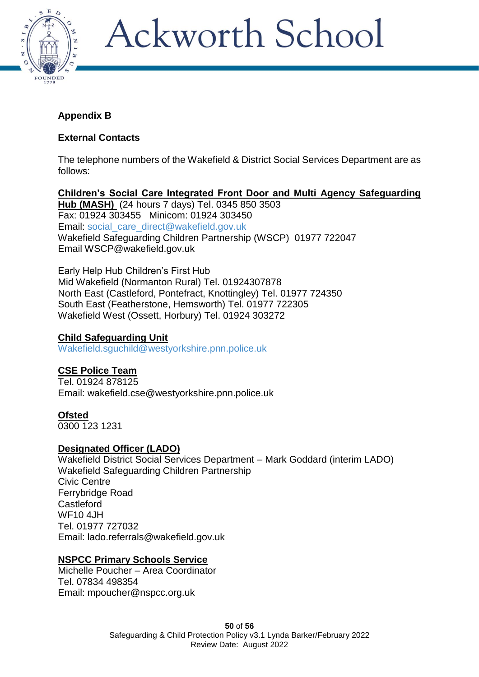

### **Appendix B**

### **External Contacts**

The telephone numbers of the Wakefield & District Social Services Department are as follows:

**Children's Social Care Integrated Front Door and Multi Agency Safeguarding Hub (MASH)** (24 hours 7 days) Tel. 0345 850 3503 Fax: 01924 303455 Minicom: 01924 303450 Email: [social\\_care\\_direct@wakefield.gov.uk](file:///C:/Users/Secretary/AppData/Local/Microsoft/Windows/INetCache/Content.Outlook/RJ2RN1MN/social_care_direct@wakefield.gov.uk) Wakefield Safeguarding Children Partnership (WSCP) 01977 722047 Email [WSCP@wakefield.gov.uk](mailto:wdscb@wakefield.gov.uk)

Early Help Hub Children's First Hub Mid Wakefield (Normanton Rural) Tel. 01924307878 North East (Castleford, Pontefract, Knottingley) Tel. 01977 724350 South East (Featherstone, Hemsworth) Tel. 01977 722305 Wakefield West (Ossett, Horbury) Tel. 01924 303272

### **Child Safeguarding Unit**

[Wakefield.sguchild@westyorkshire.pnn.police.uk](file:///C:/Users/Secretary/AppData/Local/Microsoft/Windows/INetCache/Content.Outlook/RJ2RN1MN/Wakefield.sguchild@westyorkshire.pnn.police.uk)

### **CSE Police Team**

Tel. 01924 878125 Email: [wakefield.cse@westyorkshire.pnn.police.uk](mailto:wakefield.cse@westyorkshire.pnn.police.uk)

#### **Ofsted**

0300 123 1231

### **Designated Officer (LADO)**

Wakefield District Social Services Department – Mark Goddard (interim LADO) Wakefield Safeguarding Children Partnership Civic Centre Ferrybridge Road **Castleford** WF10 4JH Tel. 01977 727032 Email: [lado.referrals@wakefield.gov.uk](mailto:lado.referrals@wakefield.gov.uk)

### **NSPCC Primary Schools Service**

Michelle Poucher – Area Coordinator Tel. 07834 498354 Email: [mpoucher@nspcc.org.uk](mailto:mpoucher@nspcc.org.uk)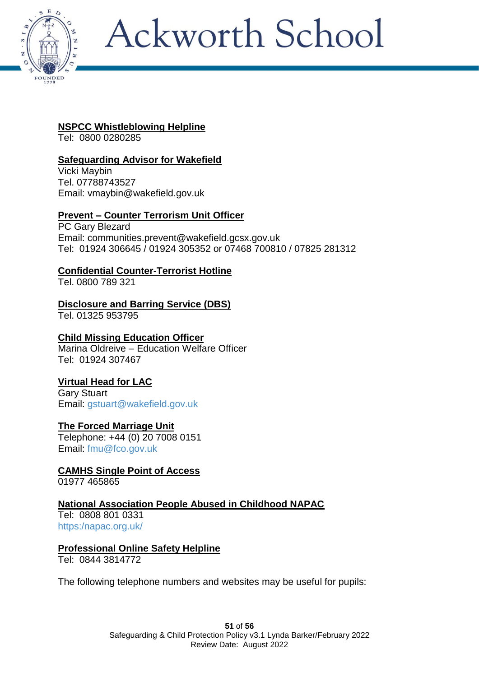

### **NSPCC Whistleblowing Helpline**

Tel: 0800 0280285

### **Safeguarding Advisor for Wakefield**

Vicki Maybin Tel. 07788743527 Email: [vmaybin@wakefield.gov.uk](mailto:vmaybin@wakefield.gov.uk)

### **Prevent – Counter Terrorism Unit Officer**

PC Gary Blezard Email: [communities.prevent@wakefield.gcsx.gov.uk](mailto:communities.prevent@wakefield.gcsx.gov.uk) Tel: 01924 306645 / 01924 305352 or 07468 700810 / 07825 281312

### **Confidential Counter-Terrorist Hotline**

Tel. 0800 789 321

### **Disclosure and Barring Service (DBS)**

Tel. 01325 953795

### **Child Missing Education Officer**

Marina Oldreive – Education Welfare Officer Tel: 01924 307467

### **Virtual Head for LAC**

Gary Stuart Email: [gstuart@wakefield.gov.uk](file:///C:/Users/Secretary/AppData/Local/Microsoft/Windows/INetCache/Content.Outlook/RJ2RN1MN/gstuart@wakefield.gov.uk)

### **The Forced Marriage Unit**

Telephone: +44 (0) 20 7008 0151 Email: [fmu@fco.gov.uk](file:///C:/Users/Secretary/AppData/Local/Microsoft/Windows/INetCache/Content.Outlook/RJ2RN1MN/fmu@fco.gov.uk)

### **CAMHS Single Point of Access**

01977 465865

### **National Association People Abused in Childhood NAPAC**

Tel: 0808 801 0331 [https:/napac.org.uk/](https://napac.org.uk/)

#### **Professional Online Safety Helpline**

Tel: 0844 3814772

The following telephone numbers and websites may be useful for pupils: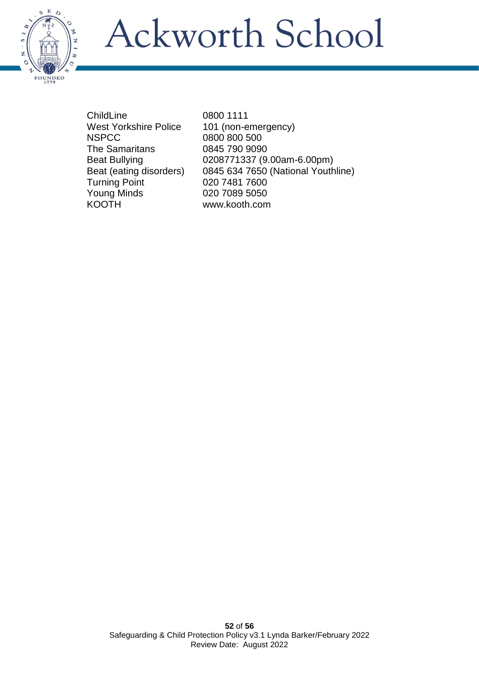

ChildLine 0800 1111 West Yorkshire Police 101 (non-emergency)<br>NSPCC 0800 800 500 The Samaritans 0845 790 9090 Turning Point 020 7481 7600 Young Minds 020 7089 5050 KOOTH www.kooth.com

0800 800 500 Beat Bullying 0208771337 (9.00am-6.00pm) Beat (eating disorders) 0845 634 7650 (National Youthline)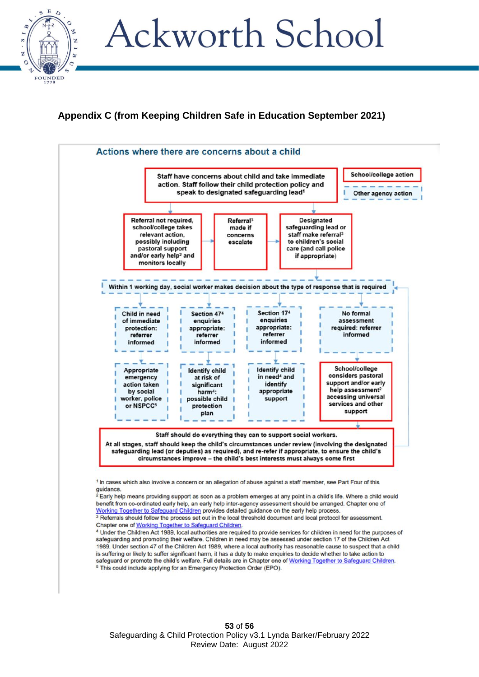

### **Appendix C (from Keeping Children Safe in Education September 2021)**



<sup>&</sup>lt;sup>4</sup> Under the Children Act 1989, local authorities are required to provide services for children in need for the purposes of safeguarding and promoting their welfare. Children in need may be assessed under section 17 of the Children Act 1989. Under section 47 of the Children Act 1989, where a local authority has reasonable cause to suspect that a child is suffering or likely to suffer significant harm, it has a duty to make enquiries to decide whether to take action to safeguard or promote the child's welfare. Full details are in Chapter one of Working Together to Safeguard Children.<sup>5</sup> This could include applying for an Emergency Protection Order (EPO).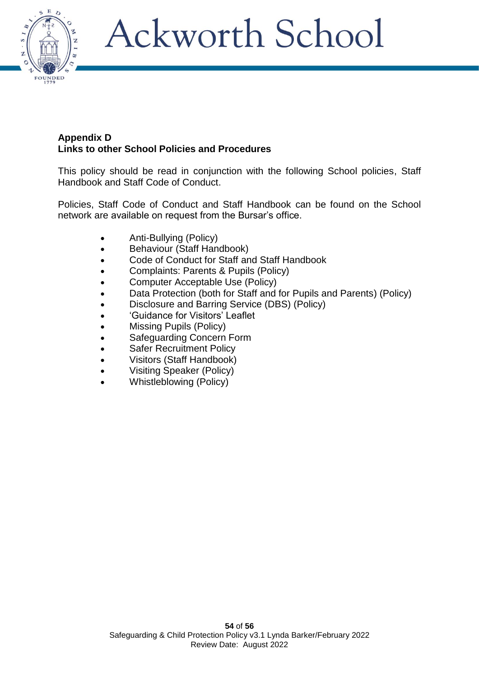

#### **Appendix D Links to other School Policies and Procedures**

This policy should be read in conjunction with the following School policies, Staff Handbook and Staff Code of Conduct.

Policies, Staff Code of Conduct and Staff Handbook can be found on the School network are available on request from the Bursar's office.

- Anti-Bullying (Policy)
- Behaviour (Staff Handbook)
- Code of Conduct for Staff and Staff Handbook
- Complaints: Parents & Pupils (Policy)
- Computer Acceptable Use (Policy)
- Data Protection (both for Staff and for Pupils and Parents) (Policy)
- Disclosure and Barring Service (DBS) (Policy)
- 'Guidance for Visitors' Leaflet
- Missing Pupils (Policy)
- Safeguarding Concern Form
- Safer Recruitment Policy
- Visitors (Staff Handbook)
- Visiting Speaker (Policy)
- Whistleblowing (Policy)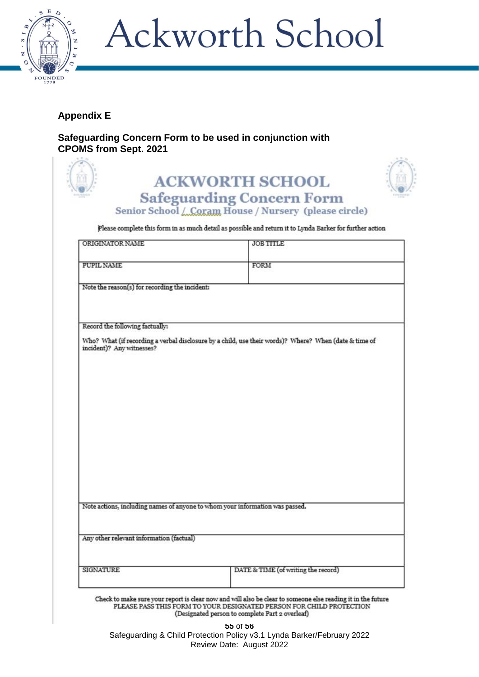

### **Appendix E**

**Safeguarding Concern Form to be used in conjunction with CPOMS from Sept. 2021**

|                                                | Senior School / Coram House / Nursery (please circle)                                                    |
|------------------------------------------------|----------------------------------------------------------------------------------------------------------|
|                                                | Please complete this form in as much detail as possible and return it to Lynda Barker for further action |
| ORIGINATOR NAME                                | <b>JOB TITLE</b>                                                                                         |
| PUPIL NAME                                     | FORM                                                                                                     |
| Note the reason(s) for recording the incident: |                                                                                                          |
| Record the following factually:                |                                                                                                          |
|                                                | Who? What (if recording a verbal disclosure by a child, use their words)? Where? When (date & time of    |
|                                                |                                                                                                          |
|                                                |                                                                                                          |
|                                                |                                                                                                          |
|                                                |                                                                                                          |
|                                                |                                                                                                          |
| incident)? Any witnesses?                      |                                                                                                          |
|                                                |                                                                                                          |
|                                                |                                                                                                          |
|                                                | Note actions, including names of anyone to whom your information was passed.                             |
| Any other relevant information (factual)       |                                                                                                          |

**55** of **56** Safeguarding & Child Protection Policy v3.1 Lynda Barker/February 2022 Review Date: August 2022